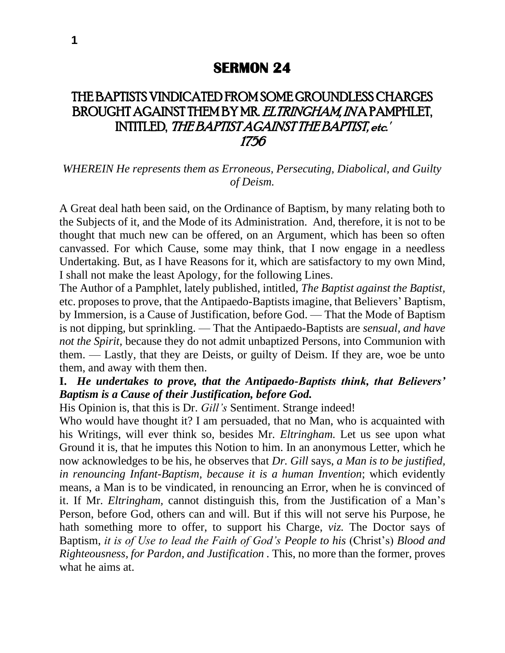## THE BAPTISTS VINDICATED FROM SOME GROUNDLESS CHARGES BROUGHT AGAINST THEM BY MR. ELTRINGHAM, IN A PAMPHLET, INTITLED, 'THE BAPTIST AGAINST THE BAPTIST, etc.' 1756

## *WHEREIN He represents them as Erroneous, Persecuting, Diabolical, and Guilty of Deism.*

A Great deal hath been said, on the Ordinance of Baptism, by many relating both to the Subjects of it, and the Mode of its Administration. And, therefore, it is not to be thought that much new can be offered, on an Argument, which has been so often canvassed. For which Cause, some may think, that I now engage in a needless Undertaking. But, as I have Reasons for it, which are satisfactory to my own Mind, I shall not make the least Apology, for the following Lines.

The Author of a Pamphlet, lately published, intitled, *The Baptist against the Baptist,*  etc. proposes to prove, that the Antipaedo-Baptists imagine, that Believers' Baptism, by Immersion, is a Cause of Justification, before God. — That the Mode of Baptism is not dipping, but sprinkling. — That the Antipaedo-Baptists are *sensual, and have not the Spirit,* because they do not admit unbaptized Persons, into Communion with them. — Lastly, that they are Deists, or guilty of Deism. If they are, woe be unto them, and away with them then.

## **I.** *He undertakes to prove, that the Antipaedo-Baptists think, that Believers' Baptism is a Cause of their Justification, before God.*

His Opinion is, that this is Dr. *Gill's* Sentiment. Strange indeed!

Who would have thought it? I am persuaded, that no Man, who is acquainted with his Writings, will ever think so, besides Mr. *Eltringham.* Let us see upon what Ground it is, that he imputes this Notion to him. In an anonymous Letter, which he now acknowledges to be his, he observes that *Dr. Gill* says, *a Man is to be justified, in renouncing Infant-Baptism, because it is a human Invention*; which evidently means, a Man is to be vindicated, in renouncing an Error, when he is convinced of it. If Mr. *Eltringham,* cannot distinguish this, from the Justification of a Man's Person, before God, others can and will. But if this will not serve his Purpose, he hath something more to offer, to support his Charge, *viz.* The Doctor says of Baptism, *it is of Use to lead the Faith of God's People to his* (Christ's) *Blood and Righteousness, for Pardon, and Justification .* This, no more than the former, proves what he aims at.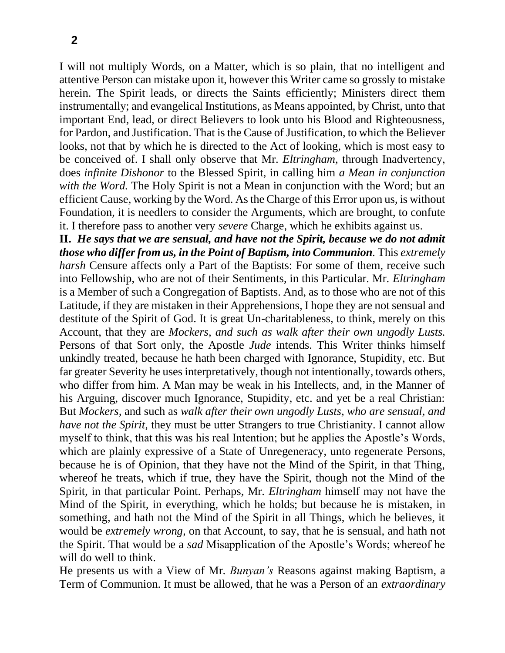I will not multiply Words, on a Matter, which is so plain, that no intelligent and attentive Person can mistake upon it, however this Writer came so grossly to mistake herein. The Spirit leads, or directs the Saints efficiently; Ministers direct them instrumentally; and evangelical Institutions, as Means appointed, by Christ, unto that important End, lead, or direct Believers to look unto his Blood and Righteousness, for Pardon, and Justification. That is the Cause of Justification, to which the Believer looks, not that by which he is directed to the Act of looking, which is most easy to be conceived of. I shall only observe that Mr. *Eltringham,* through Inadvertency, does *infinite Dishonor* to the Blessed Spirit, in calling him *a Mean in conjunction*  with the Word. The Holy Spirit is not a Mean in conjunction with the Word; but an efficient Cause, working by the Word. As the Charge of this Error upon us, is without Foundation, it is needlers to consider the Arguments, which are brought, to confute it. I therefore pass to another very *severe* Charge, which he exhibits against us.

**II.** *He says that we are sensual, and have not the Spirit, because we do not admit those who differ from us, in the Point of Baptism, into Communion.* This *extremely harsh* Censure affects only a Part of the Baptists: For some of them, receive such into Fellowship, who are not of their Sentiments, in this Particular. Mr. *Eltringham*  is a Member of such a Congregation of Baptists. And, as to those who are not of this Latitude, if they are mistaken in their Apprehensions, I hope they are not sensual and destitute of the Spirit of God. It is great Un-charitableness, to think, merely on this Account, that they are *Mockers, and such as walk after their own ungodly Lusts.* Persons of that Sort only, the Apostle *Jude* intends. This Writer thinks himself unkindly treated, because he hath been charged with Ignorance, Stupidity, etc. But far greater Severity he uses interpretatively, though not intentionally, towards others, who differ from him. A Man may be weak in his Intellects, and, in the Manner of his Arguing, discover much Ignorance, Stupidity, etc. and yet be a real Christian: But *Mockers,* and such as *walk after their own ungodly Lusts, who are sensual, and have not the Spirit,* they must be utter Strangers to true Christianity. I cannot allow myself to think, that this was his real Intention; but he applies the Apostle's Words, which are plainly expressive of a State of Unregeneracy, unto regenerate Persons, because he is of Opinion, that they have not the Mind of the Spirit, in that Thing, whereof he treats, which if true, they have the Spirit, though not the Mind of the Spirit, in that particular Point. Perhaps, Mr. *Eltringham* himself may not have the Mind of the Spirit, in everything, which he holds; but because he is mistaken, in something, and hath not the Mind of the Spirit in all Things, which he believes, it would be *extremely wrong,* on that Account, to say, that he is sensual, and hath not the Spirit. That would be a *sad* Misapplication of the Apostle's Words; whereof he will do well to think.

He presents us with a View of Mr. *Bunyan's* Reasons against making Baptism, a Term of Communion. It must be allowed, that he was a Person of an *extraordinary*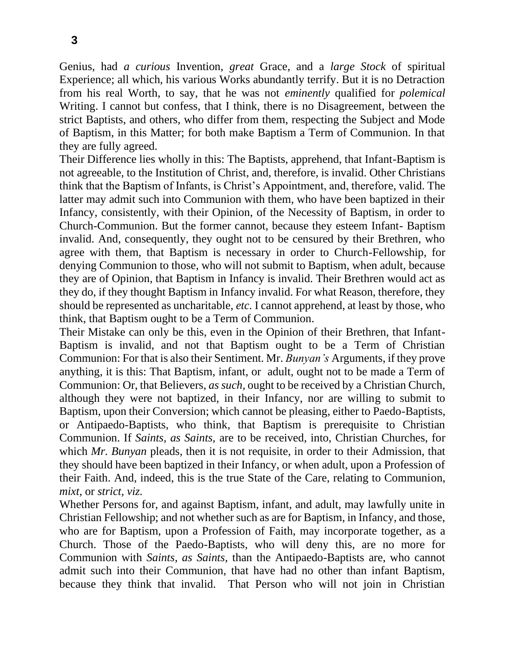Genius, had *a curious* Invention, *great* Grace, and a *large Stock* of spiritual Experience; all which, his various Works abundantly terrify. But it is no Detraction from his real Worth, to say, that he was not *eminently* qualified for *polemical*  Writing. I cannot but confess, that I think, there is no Disagreement, between the strict Baptists, and others, who differ from them, respecting the Subject and Mode of Baptism, in this Matter; for both make Baptism a Term of Communion. In that they are fully agreed.

Their Difference lies wholly in this: The Baptists, apprehend, that Infant-Baptism is not agreeable, to the Institution of Christ, and, therefore, is invalid. Other Christians think that the Baptism of Infants, is Christ's Appointment, and, therefore, valid. The latter may admit such into Communion with them, who have been baptized in their Infancy, consistently, with their Opinion, of the Necessity of Baptism, in order to Church-Communion. But the former cannot, because they esteem Infant- Baptism invalid. And, consequently, they ought not to be censured by their Brethren, who agree with them, that Baptism is necessary in order to Church-Fellowship, for denying Communion to those, who will not submit to Baptism, when adult, because they are of Opinion, that Baptism in Infancy is invalid. Their Brethren would act as they do, if they thought Baptism in Infancy invalid. For what Reason, therefore, they should be represented as uncharitable, *etc.* I cannot apprehend, at least by those, who think, that Baptism ought to be a Term of Communion.

Their Mistake can only be this, even in the Opinion of their Brethren, that Infant-Baptism is invalid, and not that Baptism ought to be a Term of Christian Communion: For that is also their Sentiment. Mr. *Bunyan's* Arguments, if they prove anything, it is this: That Baptism, infant, or adult, ought not to be made a Term of Communion: Or, that Believers, *as such,* ought to be received by a Christian Church, although they were not baptized, in their Infancy, nor are willing to submit to Baptism, upon their Conversion; which cannot be pleasing, either to Paedo-Baptists, or Antipaedo-Baptists, who think, that Baptism is prerequisite to Christian Communion. If *Saints, as Saints,* are to be received, into, Christian Churches, for which *Mr. Bunyan* pleads, then it is not requisite, in order to their Admission, that they should have been baptized in their Infancy, or when adult, upon a Profession of their Faith. And, indeed, this is the true State of the Care, relating to Communion, *mixt,* or *strict, viz.*

Whether Persons for, and against Baptism, infant, and adult, may lawfully unite in Christian Fellowship; and not whether such as are for Baptism, in Infancy, and those, who are for Baptism, upon a Profession of Faith, may incorporate together, as a Church. Those of the Paedo-Baptists, who will deny this, are no more for Communion with *Saints, as Saints,* than the Antipaedo-Baptists are, who cannot admit such into their Communion, that have had no other than infant Baptism, because they think that invalid. That Person who will not join in Christian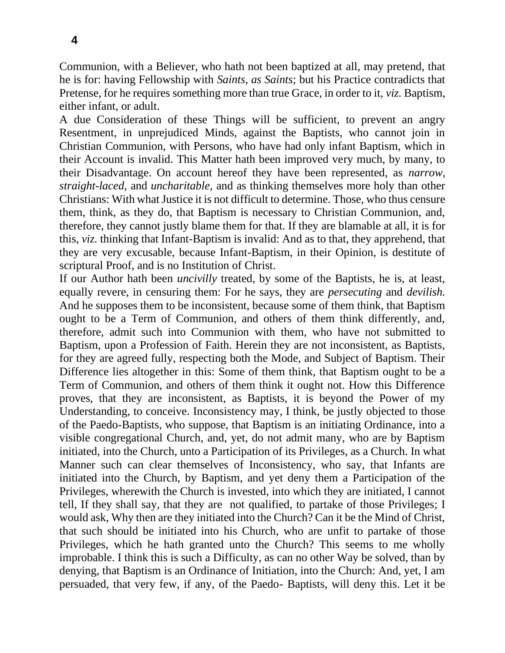Communion, with a Believer, who hath not been baptized at all, may pretend, that he is for: having Fellowship with *Saints, as Saints*; but his Practice contradicts that Pretense, for he requires something more than true Grace, in order to it, *viz*. Baptism, either infant, or adult.

A due Consideration of these Things will be sufficient, to prevent an angry Resentment, in unprejudiced Minds, against the Baptists, who cannot join in Christian Communion, with Persons, who have had only infant Baptism, which in their Account is invalid. This Matter hath been improved very much, by many, to their Disadvantage. On account hereof they have been represented, as *narrow, straight-laced,* and *uncharitable,* and as thinking themselves more holy than other Christians: With what Justice it is not difficult to determine. Those, who thus censure them, think, as they do, that Baptism is necessary to Christian Communion, and, therefore, they cannot justly blame them for that. If they are blamable at all, it is for this, *viz.* thinking that Infant-Baptism is invalid: And as to that, they apprehend, that they are very excusable, because Infant-Baptism, in their Opinion, is destitute of scriptural Proof, and is no Institution of Christ.

If our Author hath been *uncivilly* treated, by some of the Baptists, he is, at least, equally revere, in censuring them: For he says, they are *persecuting* and *devilish.*  And he supposes them to be inconsistent, because some of them think, that Baptism ought to be a Term of Communion, and others of them think differently, and, therefore, admit such into Communion with them, who have not submitted to Baptism, upon a Profession of Faith. Herein they are not inconsistent, as Baptists, for they are agreed fully, respecting both the Mode, and Subject of Baptism. Their Difference lies altogether in this: Some of them think, that Baptism ought to be a Term of Communion, and others of them think it ought not. How this Difference proves, that they are inconsistent, as Baptists, it is beyond the Power of my Understanding, to conceive. Inconsistency may, I think, be justly objected to those of the Paedo-Baptists, who suppose, that Baptism is an initiating Ordinance, into a visible congregational Church, and, yet, do not admit many, who are by Baptism initiated, into the Church, unto a Participation of its Privileges, as a Church. In what Manner such can clear themselves of Inconsistency, who say, that Infants are initiated into the Church, by Baptism, and yet deny them a Participation of the Privileges, wherewith the Church is invested, into which they are initiated, I cannot tell, If they shall say, that they are not qualified, to partake of those Privileges; I would ask, Why then are they initiated into the Church? Can it be the Mind of Christ, that such should be initiated into his Church, who are unfit to partake of those Privileges, which he hath granted unto the Church? This seems to me wholly improbable. I think this is such a Difficulty, as can no other Way be solved, than by denying, that Baptism is an Ordinance of Initiation, into the Church: And, yet, I am persuaded, that very few, if any, of the Paedo- Baptists, will deny this. Let it be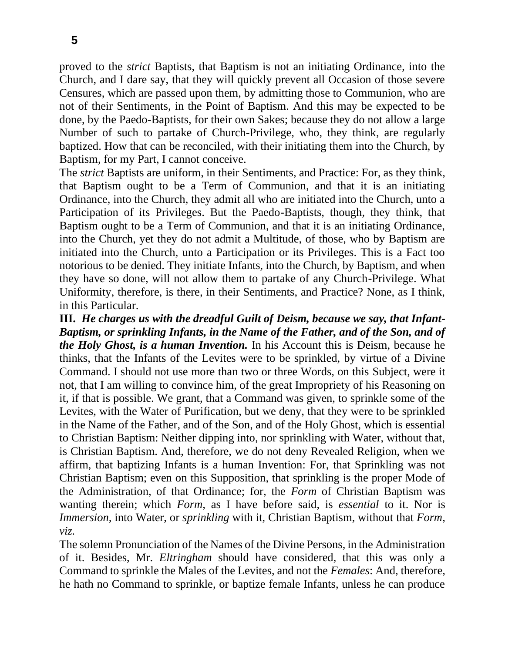proved to the *strict* Baptists, that Baptism is not an initiating Ordinance, into the Church, and I dare say, that they will quickly prevent all Occasion of those severe Censures, which are passed upon them, by admitting those to Communion, who are not of their Sentiments, in the Point of Baptism. And this may be expected to be done, by the Paedo-Baptists, for their own Sakes; because they do not allow a large Number of such to partake of Church-Privilege, who, they think, are regularly baptized. How that can be reconciled, with their initiating them into the Church, by Baptism, for my Part, I cannot conceive.

The *strict* Baptists are uniform, in their Sentiments, and Practice: For, as they think, that Baptism ought to be a Term of Communion, and that it is an initiating Ordinance, into the Church, they admit all who are initiated into the Church, unto a Participation of its Privileges. But the Paedo-Baptists, though, they think, that Baptism ought to be a Term of Communion, and that it is an initiating Ordinance, into the Church, yet they do not admit a Multitude, of those, who by Baptism are initiated into the Church, unto a Participation or its Privileges. This is a Fact too notorious to be denied. They initiate Infants, into the Church, by Baptism, and when they have so done, will not allow them to partake of any Church-Privilege. What Uniformity, therefore, is there, in their Sentiments, and Practice? None, as I think, in this Particular.

**III.** *He charges us with the dreadful Guilt of Deism, because we say, that Infant-Baptism, or sprinkling Infants, in the Name of the Father, and of the Son, and of the Holy Ghost, is a human Invention.* In his Account this is Deism, because he thinks, that the Infants of the Levites were to be sprinkled, by virtue of a Divine Command. I should not use more than two or three Words, on this Subject, were it not, that I am willing to convince him, of the great Impropriety of his Reasoning on it, if that is possible. We grant, that a Command was given, to sprinkle some of the Levites, with the Water of Purification, but we deny, that they were to be sprinkled in the Name of the Father, and of the Son, and of the Holy Ghost, which is essential to Christian Baptism: Neither dipping into, nor sprinkling with Water, without that, is Christian Baptism. And, therefore, we do not deny Revealed Religion, when we affirm, that baptizing Infants is a human Invention: For, that Sprinkling was not Christian Baptism; even on this Supposition, that sprinkling is the proper Mode of the Administration, of that Ordinance; for, the *Form* of Christian Baptism was wanting therein; which *Form,* as I have before said, is *essential* to it. Nor is *Immersion,* into Water, or *sprinkling* with it, Christian Baptism, without that *Form, viz.*

The solemn Pronunciation of the Names of the Divine Persons, in the Administration of it. Besides, Mr. *Eltringham* should have considered, that this was only a Command to sprinkle the Males of the Levites, and not the *Females*: And, therefore, he hath no Command to sprinkle, or baptize female Infants, unless he can produce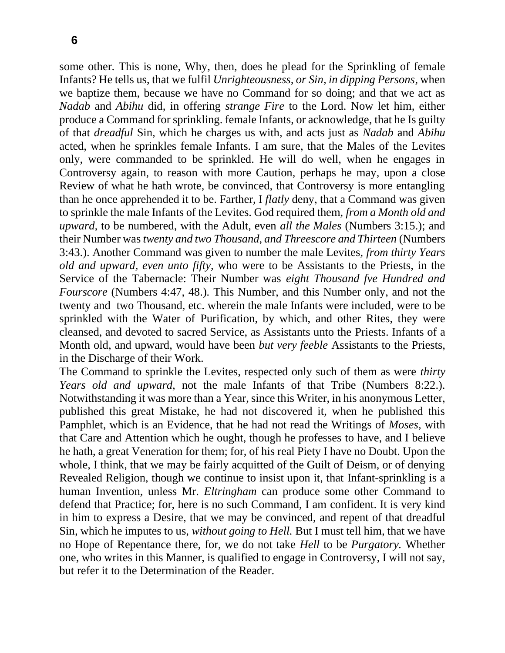some other. This is none, Why, then, does he plead for the Sprinkling of female Infants? He tells us, that we fulfil *Unrighteousness, or Sin, in dipping Persons*, when we baptize them, because we have no Command for so doing; and that we act as *Nadab* and *Abihu* did, in offering *strange Fire* to the Lord. Now let him, either produce a Command for sprinkling. female Infants, or acknowledge, that he Is guilty of that *dreadful* Sin, which he charges us with, and acts just as *Nadab* and *Abihu*  acted, when he sprinkles female Infants. I am sure, that the Males of the Levites only, were commanded to be sprinkled. He will do well, when he engages in Controversy again, to reason with more Caution, perhaps he may, upon a close Review of what he hath wrote, be convinced, that Controversy is more entangling than he once apprehended it to be. Farther, I *flatly* deny, that a Command was given to sprinkle the male Infants of the Levites. God required them, *from a Month old and upward,* to be numbered, with the Adult, even *all the Males* (Numbers 3:15.); and their Number was *twenty and two Thousand, and Threescore and Thirteen* (Numbers 3:43.). Another Command was given to number the male Levites, *from thirty Years old and upward, even unto fifty,* who were to be Assistants to the Priests, in the Service of the Tabernacle: Their Number was *eight Thousand fve Hundred and Fourscore* (Numbers 4:47, 48.). This Number, and this Number only, and not the twenty and two Thousand, etc. wherein the male Infants were included, were to be sprinkled with the Water of Purification, by which, and other Rites, they were cleansed, and devoted to sacred Service, as Assistants unto the Priests. Infants of a Month old, and upward, would have been *but very feeble* Assistants to the Priests, in the Discharge of their Work.

The Command to sprinkle the Levites, respected only such of them as were *thirty Years old and upward,* not the male Infants of that Tribe (Numbers 8:22.). Notwithstanding it was more than a Year, since this Writer, in his anonymous Letter, published this great Mistake, he had not discovered it, when he published this Pamphlet, which is an Evidence, that he had not read the Writings of *Moses,* with that Care and Attention which he ought, though he professes to have, and I believe he hath, a great Veneration for them; for, of his real Piety I have no Doubt. Upon the whole, I think, that we may be fairly acquitted of the Guilt of Deism, or of denying Revealed Religion, though we continue to insist upon it, that Infant-sprinkling is a human Invention, unless Mr. *Eltringham* can produce some other Command to defend that Practice; for, here is no such Command, I am confident. It is very kind in him to express a Desire, that we may be convinced, and repent of that dreadful Sin, which he imputes to us, *without going to Hell.* But I must tell him, that we have no Hope of Repentance there, for, we do not take *Hell* to be *Purgatory.* Whether one, who writes in this Manner, is qualified to engage in Controversy, I will not say, but refer it to the Determination of the Reader.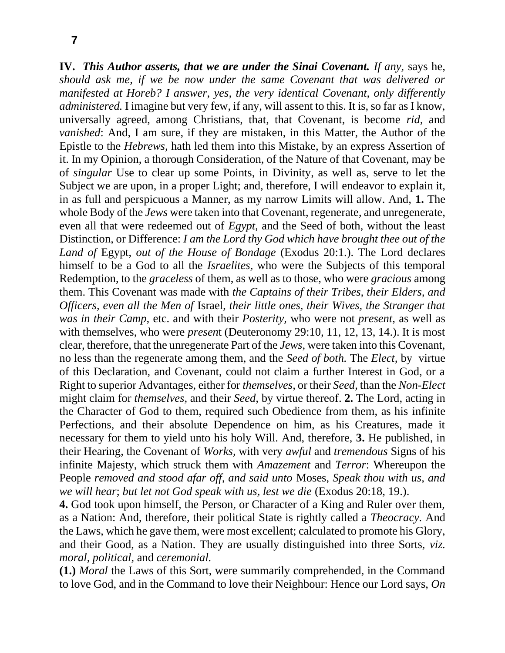**IV.** *This Author asserts, that we are under the Sinai Covenant. If any,* says he, *should ask me, if we be now under the same Covenant that was delivered or manifested at Horeb? I answer, yes, the very identical Covenant, only differently administered.* I imagine but very few, if any, will assent to this. It is, so far as I know, universally agreed, among Christians, that, that Covenant, is become *rid,* and *vanished*: And, I am sure, if they are mistaken, in this Matter, the Author of the Epistle to the *Hebrews,* hath led them into this Mistake, by an express Assertion of it. In my Opinion, a thorough Consideration, of the Nature of that Covenant, may be of *singular* Use to clear up some Points, in Divinity, as well as, serve to let the Subject we are upon, in a proper Light; and, therefore, I will endeavor to explain it, in as full and perspicuous a Manner, as my narrow Limits will allow. And, **1.** The whole Body of the *Jews* were taken into that Covenant, regenerate, and unregenerate, even all that were redeemed out of *Egypt,* and the Seed of both, without the least Distinction, or Difference: *I am the Lord thy God which have brought thee out of the Land of* Egypt, *out of the House of Bondage* (Exodus 20:1.). The Lord declares himself to be a God to all the *Israelites,* who were the Subjects of this temporal Redemption, to the *graceless* of them, as well as to those, who were *gracious* among them. This Covenant was made with *the Captains of their Tribes, their Elders, and Officers, even all the Men of* Israel, *their little ones, their Wives, the Stranger that was in their Camp,* etc. and with their *Posterity,* who were not *present,* as well as with themselves, who were *presen*t (Deuteronomy 29:10, 11, 12, 13, 14.). It is most clear, therefore, that the unregenerate Part of the *Jews,* were taken into this Covenant, no less than the regenerate among them, and the *Seed of both.* The *Elect,* by virtue of this Declaration, and Covenant, could not claim a further Interest in God, or a Right to superior Advantages, either for *themselves,* or their *Seed,* than the *Non-Elect*  might claim for *themselves,* and their *Seed,* by virtue thereof. **2.** The Lord, acting in the Character of God to them, required such Obedience from them, as his infinite Perfections, and their absolute Dependence on him, as his Creatures, made it necessary for them to yield unto his holy Will. And, therefore, **3.** He published, in their Hearing, the Covenant of *Works,* with very *awful* and *tremendous* Signs of his infinite Majesty, which struck them with *Amazement* and *Terror*: Whereupon the People *removed and stood afar off, and said unto* Moses, *Speak thou with us, and we will hear*; *but let not God speak with us, lest we die* (Exodus 20:18, 19.).

**4.** God took upon himself, the Person, or Character of a King and Ruler over them, as a Nation: And, therefore, their political State is rightly called a *Theocracy.* And the Laws, which he gave them, were most excellent; calculated to promote his Glory, and their Good, as a Nation. They are usually distinguished into three Sorts, *viz. moral, political,* and *ceremonial.*

**(1.)** *Moral* the Laws of this Sort, were summarily comprehended, in the Command to love God, and in the Command to love their Neighbour: Hence our Lord says, *On*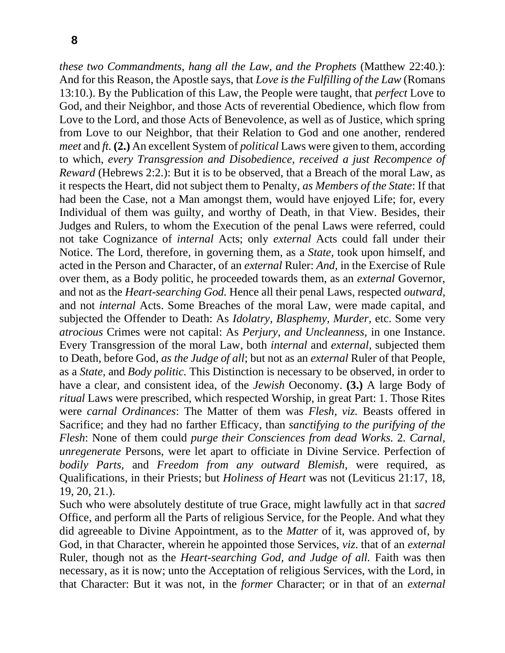*these two Commandments, hang all the Law, and the Prophets* (Matthew 22:40.): And for this Reason, the Apostle says, that *Love is the Fulfilling of the Law* (Romans 13:10.). By the Publication of this Law, the People were taught, that *perfect* Love to God, and their Neighbor, and those Acts of reverential Obedience, which flow from Love to the Lord, and those Acts of Benevolence, as well as of Justice, which spring from Love to our Neighbor, that their Relation to God and one another, rendered *meet* and *ft.* (2.) An excellent System of *political* Laws were given to them, according to which, *every Transgression and Disobedience, received a just Recompence of Reward* (Hebrews 2:2.): But it is to be observed, that a Breach of the moral Law, as it respects the Heart, did not subject them to Penalty, *as Members of the State*: If that had been the Case, not a Man amongst them, would have enjoyed Life; for, every Individual of them was guilty, and worthy of Death, in that View. Besides, their Judges and Rulers, to whom the Execution of the penal Laws were referred, could not take Cognizance of *internal* Acts; only *external* Acts could fall under their Notice. The Lord, therefore, in governing them, as a *State,* took upon himself, and acted in the Person and Character, of an *external* Ruler: *And,* in the Exercise of Rule over them, as a Body politic, he proceeded towards them, as an *external* Governor, and not as the *Heart-searching God.* Hence all their penal Laws, respected *outward,*  and not *internal* Acts. Some Breaches of the moral Law, were made capital, and subjected the Offender to Death: As *Idolatry, Blasphemy, Murder,* etc. Some very *atrocious* Crimes were not capital: As *Perjury, and Uncleanness,* in one Instance. Every Transgression of the moral Law, both *internal* and *external,* subjected them to Death, before God, *as the Judge of all*; but not as an *external* Ruler of that People, as a *State,* and *Body politic.* This Distinction is necessary to be observed, in order to have a clear, and consistent idea, of the *Jewish* Oeconomy. **(3.)** A large Body of *ritual* Laws were prescribed, which respected Worship, in great Part: 1. Those Rites were *carnal Ordinances*: The Matter of them was *Flesh, viz.* Beasts offered in Sacrifice; and they had no farther Efficacy, than *sanctifying to the purifying of the Flesh*: None of them could *purge their Consciences from dead Works.* 2*. Carnal, unregenerate* Persons, were let apart to officiate in Divine Service. Perfection of *bodily Parts,* and *Freedom from any outward Blemish,* were required, as Qualifications, in their Priests; but *Holiness of Heart* was not (Leviticus 21:17, 18, 19, 20, 21.).

Such who were absolutely destitute of true Grace, might lawfully act in that *sacred*  Office, and perform all the Parts of religious Service, for the People. And what they did agreeable to Divine Appointment, as to the *Matter* of it, was approved of, by God, in that Character, wherein he appointed those Services, *viz*. that of an *external*  Ruler, though not as the *Heart-searching God, and Judge of all.* Faith was then necessary, as it is now; unto the Acceptation of religious Services, with the Lord, in that Character: But it was not, in the *former* Character; or in that of an *external*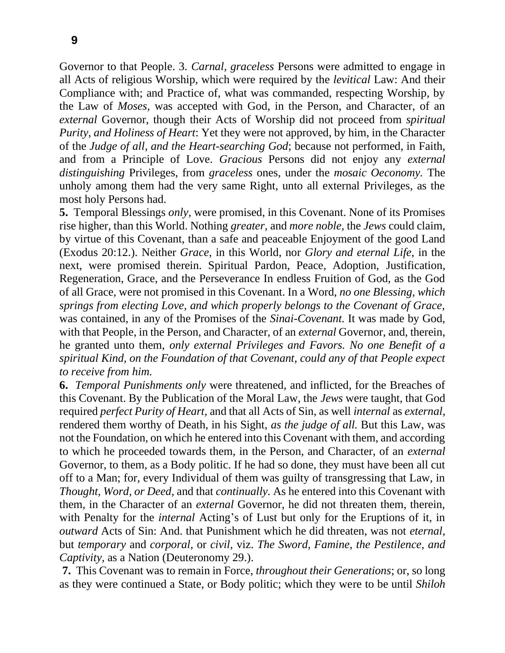Governor to that People. 3. *Carnal, graceless* Persons were admitted to engage in all Acts of religious Worship, which were required by the *levitical* Law: And their Compliance with; and Practice of, what was commanded, respecting Worship, by the Law of *Moses,* was accepted with God, in the Person, and Character, of an *external* Governor, though their Acts of Worship did not proceed from *spiritual Purity, and Holiness of Heart*: Yet they were not approved, by him, in the Character of the *Judge of all*, *and the Heart-searching God*; because not performed, in Faith, and from a Principle of Love. *Gracious* Persons did not enjoy any *external distinguishing* Privileges, from *graceless* ones, under the *mosaic Oeconomy.* The unholy among them had the very same Right, unto all external Privileges, as the most holy Persons had.

**5.** Temporal Blessings *only,* were promised, in this Covenant. None of its Promises rise higher, than this World. Nothing *greater,* and *more noble,* the *Jews* could claim, by virtue of this Covenant, than a safe and peaceable Enjoyment of the good Land (Exodus 20:12.). Neither *Grace,* in this World, nor *Glory and eternal Life,* in the next, were promised therein. Spiritual Pardon, Peace, Adoption, Justification, Regeneration, Grace, and the Perseverance In endless Fruition of God, as the God of all Grace, were not promised in this Covenant. In a Word, *no one Blessing, which springs from electing Love, and which properly belongs to the Covenant of Grace,*  was contained, in any of the Promises of the *Sinai-Covenant.* It was made by God, with that People, in the Person, and Character, of an *external* Governor, and, therein, he granted unto them, *only external Privileges and Favors. No one Benefit of a spiritual Kind, on the Foundation of that Covenant, could any of that People expect to receive from him.*

**6.** *Temporal Punishments only* were threatened, and inflicted, for the Breaches of this Covenant. By the Publication of the Moral Law, the *Jews* were taught, that God required *perfect Purity of Heart,* and that all Acts of Sin, as well *internal* as *external,*  rendered them worthy of Death, in his Sight, *as the judge of all.* But this Law, was not the Foundation, on which he entered into this Covenant with them, and according to which he proceeded towards them, in the Person, and Character, of an *external*  Governor, to them, as a Body politic. If he had so done, they must have been all cut off to a Man; for, every Individual of them was guilty of transgressing that Law, in *Thought, Word, or Deed,* and that *continually.* As he entered into this Covenant with them, in the Character of an *external* Governor, he did not threaten them, therein, with Penalty for the *internal* Acting's of Lust but only for the Eruptions of it, in *outward* Acts of Sin: And. that Punishment which he did threaten, was not *eternal,*  but *temporary* and *corporal,* or *civil,* viz. *The Sword, Famine, the Pestilence, and Captivity,* as a Nation (Deuteronomy 29.).

**7.** This Covenant was to remain in Force, *throughout their Generations*; or, so long as they were continued a State, or Body politic; which they were to be until *Shiloh*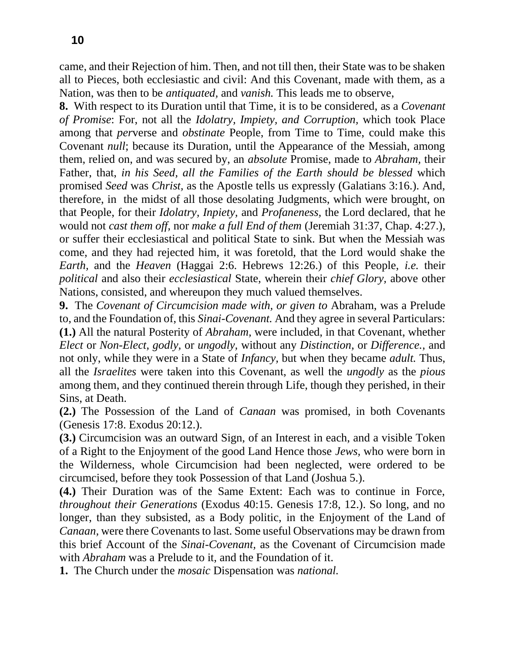came, and their Rejection of him. Then, and not till then, their State was to be shaken all to Pieces, both ecclesiastic and civil: And this Covenant, made with them, as a Nation, was then to be *antiquated,* and *vanish.* This leads me to observe,

**8.** With respect to its Duration until that Time, it is to be considered, as a *Covenant of Promise*: For, not all the *Idolatry, Impiety, and Corruption,* which took Place among that *per*verse and *obstinate* People, from Time to Time, could make this Covenant *null*; because its Duration, until the Appearance of the Messiah, among them, relied on, and was secured by, an *absolute* Promise, made to *Abraham,* their Father, that, *in his Seed, all the Families of the Earth should be blessed* which promised *Seed* was *Christ,* as the Apostle tells us expressly (Galatians 3:16.). And, therefore, in the midst of all those desolating Judgments, which were brought, on that People, for their *Idolatry, Inpiety,* and *Profaneness,* the Lord declared, that he would not *cast them off, nor make a full End of them (Jeremiah 31:37, Chap. 4:27.),* or suffer their ecclesiastical and political State to sink. But when the Messiah was come, and they had rejected him, it was foretold, that the Lord would shake the *Earth,* and the *Heaven* (Haggai 2:6. Hebrews 12:26.) of this People, *i.e.* their *political* and also their *ecclesiastical* State, wherein their *chief Glory,* above other Nations, consisted, and whereupon they much valued themselves.

**9.** The *Covenant of Circumcision made with, or given to* Abraham, was a Prelude to, and the Foundation of, this *Sinai-Covenant.* And they agree in several Particulars: **(1.)** All the natural Posterity of *Abraham,* were included, in that Covenant, whether *Elect* or *Non-Elect, godly,* or *ungodly,* without any *Distinction,* or *Difference.,* and not only, while they were in a State of *Infancy,* but when they became *adult.* Thus, all the *Israelites* were taken into this Covenant, as well the *ungodly* as the *pious*  among them, and they continued therein through Life, though they perished, in their Sins, at Death.

**(2.)** The Possession of the Land of *Canaan* was promised, in both Covenants (Genesis 17:8. Exodus 20:12.).

**(3.)** Circumcision was an outward Sign, of an Interest in each, and a visible Token of a Right to the Enjoyment of the good Land Hence those *Jews,* who were born in the Wilderness, whole Circumcision had been neglected, were ordered to be circumcised, before they took Possession of that Land (Joshua 5.).

**(4.)** Their Duration was of the Same Extent: Each was to continue in Force, *throughout their Generations* (Exodus 40:15. Genesis 17:8, 12.). So long, and no longer, than they subsisted, as a Body politic, in the Enjoyment of the Land of *Canaan,* were there Covenants to last. Some useful Observations may be drawn from this brief Account of the *Sinai-Covenant,* as the Covenant of Circumcision made with *Abraham* was a Prelude to it, and the Foundation of it.

**1.** The Church under the *mosaic* Dispensation was *national.*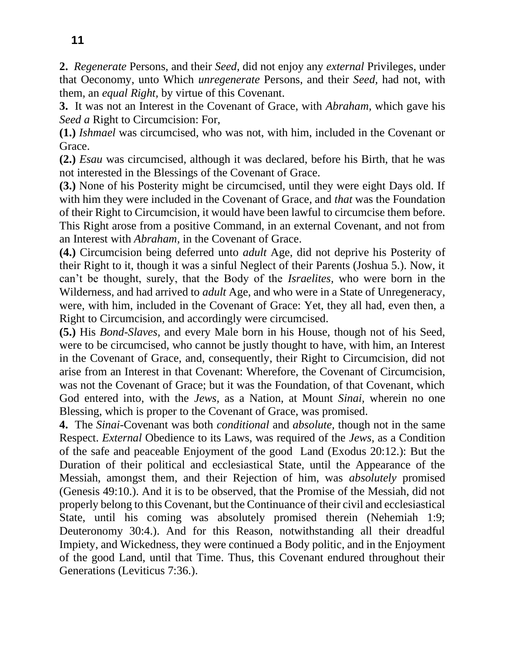**2.** *Regenerate* Persons, and their *Seed,* did not enjoy any *external* Privileges, under that Oeconomy, unto Which *unregenerate* Persons, and their *Seed,* had not, with them, an *equal Right,* by virtue of this Covenant.

**3.** It was not an Interest in the Covenant of Grace, with *Abraham,* which gave his *Seed a* Right to Circumcision: For,

**(1.)** *Ishmael* was circumcised, who was not, with him, included in the Covenant or Grace.

**(2.)** *Esau* was circumcised, although it was declared, before his Birth, that he was not interested in the Blessings of the Covenant of Grace.

**(3.)** None of his Posterity might be circumcised, until they were eight Days old. If with him they were included in the Covenant of Grace, and *that* was the Foundation of their Right to Circumcision, it would have been lawful to circumcise them before. This Right arose from a positive Command, in an external Covenant, and not from an Interest with *Abraham,* in the Covenant of Grace.

**(4.)** Circumcision being deferred unto *adult* Age, did not deprive his Posterity of their Right to it, though it was a sinful Neglect of their Parents (Joshua 5.). Now, it can't be thought, surely, that the Body of the *Israelites,* who were born in the Wilderness, and had arrived to *adult* Age, and who were in a State of Unregeneracy, were, with him, included in the Covenant of Grace: Yet, they all had, even then, a Right to Circumcision, and accordingly were circumcised.

**(5.)** His *Bond-Slaves,* and every Male born in his House, though not of his Seed, were to be circumcised, who cannot be justly thought to have, with him, an Interest in the Covenant of Grace, and, consequently, their Right to Circumcision, did not arise from an Interest in that Covenant: Wherefore, the Covenant of Circumcision, was not the Covenant of Grace; but it was the Foundation, of that Covenant, which God entered into, with the *Jews,* as a Nation, at Mount *Sinai,* wherein no one Blessing, which is proper to the Covenant of Grace, was promised.

**4.** The *Sinai-*Covenant was both *conditional* and *absolute,* though not in the same Respect. *External* Obedience to its Laws, was required of the *Jews,* as a Condition of the safe and peaceable Enjoyment of the good Land (Exodus 20:12.): But the Duration of their political and ecclesiastical State, until the Appearance of the Messiah, amongst them, and their Rejection of him, was *absolutely* promised (Genesis 49:10.). And it is to be observed, that the Promise of the Messiah, did not properly belong to this Covenant, but the Continuance of their civil and ecclesiastical State, until his coming was absolutely promised therein (Nehemiah 1:9; Deuteronomy 30:4.). And for this Reason, notwithstanding all their dreadful Impiety, and Wickedness, they were continued a Body politic, and in the Enjoyment of the good Land, until that Time. Thus, this Covenant endured throughout their Generations (Leviticus 7:36.).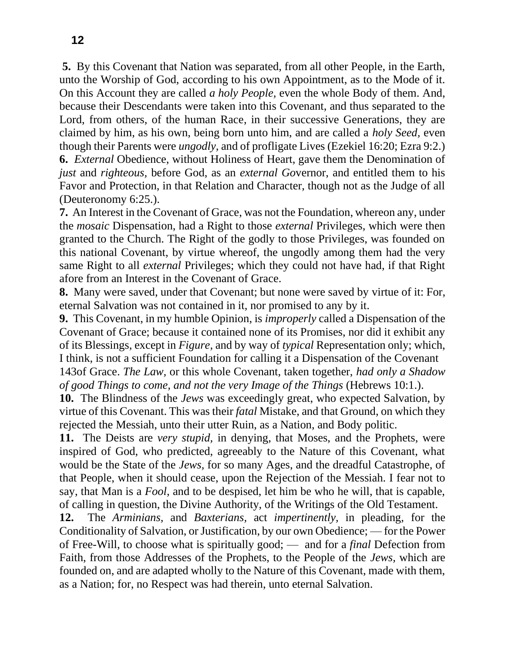**5.** By this Covenant that Nation was separated, from all other People, in the Earth, unto the Worship of God, according to his own Appointment, as to the Mode of it. On this Account they are called *a holy People,* even the whole Body of them. And, because their Descendants were taken into this Covenant, and thus separated to the Lord, from others, of the human Race, in their successive Generations, they are claimed by him, as his own, being born unto him, and are called a *holy Seed,* even though their Parents were *ungodly,* and of profligate Lives (Ezekiel 16:20; Ezra 9:2.) **6.** *External* Obedience, without Holiness of Heart, gave them the Denomination of *just* and *righteous,* before God, as an *external Go*vernor, and entitled them to his Favor and Protection, in that Relation and Character, though not as the Judge of all (Deuteronomy 6:25.).

**7.** An Interest in the Covenant of Grace, was not the Foundation, whereon any, under the *mosaic* Dispensation, had a Right to those *external* Privileges, which were then granted to the Church. The Right of the godly to those Privileges, was founded on this national Covenant, by virtue whereof, the ungodly among them had the very same Right to all *external* Privileges; which they could not have had, if that Right afore from an Interest in the Covenant of Grace.

**8.** Many were saved, under that Covenant; but none were saved by virtue of it: For, eternal Salvation was not contained in it, nor promised to any by it.

**9.** This Covenant, in my humble Opinion, is *improperly* called a Dispensation of the Covenant of Grace; because it contained none of its Promises, nor did it exhibit any of its Blessings, except in *Figure,* and by way of *typical* Representation only; which, I think, is not a sufficient Foundation for calling it a Dispensation of the Covenant 143of Grace. *The Law,* or this whole Covenant, taken together, *had only a Shadow of good Things to come, and not the very Image of the Things* (Hebrews 10:1.).

**10.** The Blindness of the *Jews* was exceedingly great, who expected Salvation, by virtue of this Covenant. This was their *fatal* Mistake, and that Ground, on which they rejected the Messiah, unto their utter Ruin, as a Nation, and Body politic.

**11.** The Deists are *very stupid,* in denying, that Moses, and the Prophets, were inspired of God, who predicted, agreeably to the Nature of this Covenant, what would be the State of the *Jews,* for so many Ages, and the dreadful Catastrophe, of that People, when it should cease, upon the Rejection of the Messiah. I fear not to say, that Man is a *Fool,* and to be despised, let him be who he will, that is capable, of calling in question, the Divine Authority, of the Writings of the Old Testament.

**12.** The *Arminians,* and *Baxterians,* act *impertinently,* in pleading, for the Conditionality of Salvation, or Justification, by our own Obedience; — for the Power of Free-Will, to choose what is spiritually good; — and for a *final* Defection from Faith, from those Addresses of the Prophets, to the People of the *Jews,* which are founded on, and are adapted wholly to the Nature of this Covenant, made with them, as a Nation; for, no Respect was had therein, unto eternal Salvation.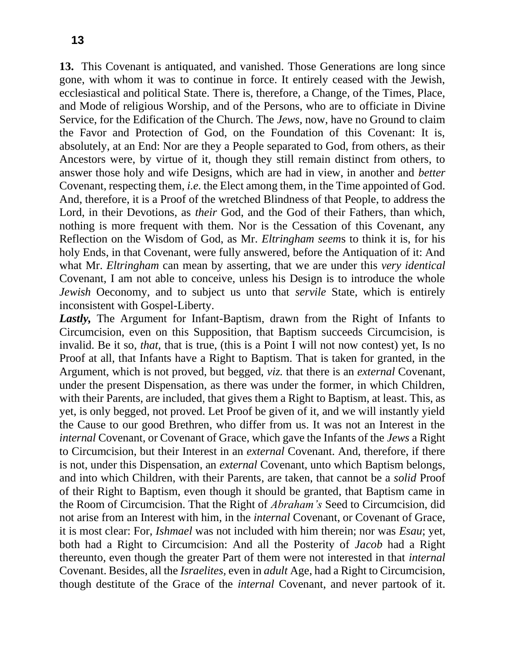**13.** This Covenant is antiquated, and vanished. Those Generations are long since gone, with whom it was to continue in force. It entirely ceased with the Jewish, ecclesiastical and political State. There is, therefore, a Change, of the Times, Place, and Mode of religious Worship, and of the Persons, who are to officiate in Divine Service, for the Edification of the Church. The *Jews,* now, have no Ground to claim the Favor and Protection of God, on the Foundation of this Covenant: It is, absolutely, at an End: Nor are they a People separated to God, from others, as their Ancestors were, by virtue of it, though they still remain distinct from others, to answer those holy and wife Designs, which are had in view, in another and *better*  Covenant, respecting them, *i.e.* the Elect among them, in the Time appointed of God. And, therefore, it is a Proof of the wretched Blindness of that People, to address the Lord, in their Devotions, as *their* God, and the God of their Fathers, than which, nothing is more frequent with them. Nor is the Cessation of this Covenant, any Reflection on the Wisdom of God, as Mr. *Eltringham seem*s to think it is, for his holy Ends, in that Covenant, were fully answered, before the Antiquation of it: And what Mr. *Eltringham* can mean by asserting, that we are under this *very identical* Covenant, I am not able to conceive, unless his Design is to introduce the whole *Jewish* Oeconomy, and to subject us unto that *servile* State, which is entirely inconsistent with Gospel-Liberty.

Lastly, The Argument for Infant-Baptism, drawn from the Right of Infants to Circumcision, even on this Supposition, that Baptism succeeds Circumcision, is invalid. Be it so, *that,* that is true, (this is a Point I will not now contest) yet, Is no Proof at all, that Infants have a Right to Baptism. That is taken for granted, in the Argument, which is not proved, but begged, *viz.* that there is an *external* Covenant, under the present Dispensation, as there was under the former, in which Children, with their Parents, are included, that gives them a Right to Baptism, at least. This, as yet, is only begged, not proved. Let Proof be given of it, and we will instantly yield the Cause to our good Brethren, who differ from us. It was not an Interest in the *internal* Covenant, or Covenant of Grace, which gave the Infants of the *Jews* a Right to Circumcision, but their Interest in an *external* Covenant. And, therefore, if there is not, under this Dispensation, an *external* Covenant, unto which Baptism belongs, and into which Children, with their Parents, are taken, that cannot be a *solid* Proof of their Right to Baptism, even though it should be granted, that Baptism came in the Room of Circumcision. That the Right of *Abraham's* Seed to Circumcision, did not arise from an Interest with him, in the *internal* Covenant, or Covenant of Grace, it is most clear: For, *Ishmael* was not included with him therein; nor was *Esau*; yet, both had a Right to Circumcision: And all the Posterity of *Jacob* had a Right thereunto, even though the greater Part of them were not interested in that *internal*  Covenant. Besides, all the *Israelites,* even in *adult* Age, had a Right to Circumcision, though destitute of the Grace of the *internal* Covenant, and never partook of it.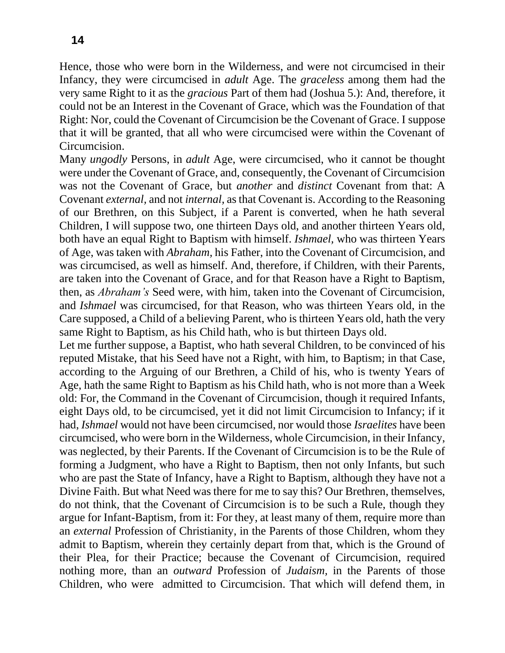Hence, those who were born in the Wilderness, and were not circumcised in their Infancy, they were circumcised in *adult* Age. The *graceless* among them had the very same Right to it as the *gracious* Part of them had (Joshua 5.): And, therefore, it could not be an Interest in the Covenant of Grace, which was the Foundation of that Right: Nor, could the Covenant of Circumcision be the Covenant of Grace. I suppose that it will be granted, that all who were circumcised were within the Covenant of Circumcision.

Many *ungodly* Persons, in *adult* Age, were circumcised, who it cannot be thought were under the Covenant of Grace, and, consequently, the Covenant of Circumcision was not the Covenant of Grace, but *another* and *distinct* Covenant from that: A Covenant *external,* and not *internal,* as that Covenant is. According to the Reasoning of our Brethren, on this Subject, if a Parent is converted, when he hath several Children, I will suppose two, one thirteen Days old, and another thirteen Years old, both have an equal Right to Baptism with himself. *Ishmael,* who was thirteen Years of Age, was taken with *Abraham,* his Father, into the Covenant of Circumcision, and was circumcised, as well as himself. And, therefore, if Children, with their Parents, are taken into the Covenant of Grace, and for that Reason have a Right to Baptism, then, as *Abraham's* Seed were, with him, taken into the Covenant of Circumcision, and *Ishmael* was circumcised, for that Reason, who was thirteen Years old, in the Care supposed, a Child of a believing Parent, who is thirteen Years old, hath the very same Right to Baptism, as his Child hath, who is but thirteen Days old.

Let me further suppose, a Baptist, who hath several Children, to be convinced of his reputed Mistake, that his Seed have not a Right, with him, to Baptism; in that Case, according to the Arguing of our Brethren, a Child of his, who is twenty Years of Age, hath the same Right to Baptism as his Child hath, who is not more than a Week old: For, the Command in the Covenant of Circumcision, though it required Infants, eight Days old, to be circumcised, yet it did not limit Circumcision to Infancy; if it had, *Ishmael* would not have been circumcised, nor would those *Israelites* have been circumcised, who were born in the Wilderness, whole Circumcision, in their Infancy, was neglected, by their Parents. If the Covenant of Circumcision is to be the Rule of forming a Judgment, who have a Right to Baptism, then not only Infants, but such who are past the State of Infancy, have a Right to Baptism, although they have not a Divine Faith. But what Need was there for me to say this? Our Brethren, themselves, do not think, that the Covenant of Circumcision is to be such a Rule, though they argue for Infant-Baptism, from it: For they, at least many of them, require more than an *external* Profession of Christianity, in the Parents of those Children, whom they admit to Baptism, wherein they certainly depart from that, which is the Ground of their Plea, for their Practice; because the Covenant of Circumcision, required nothing more, than an *outward* Profession of *Judaism,* in the Parents of those Children, who were admitted to Circumcision. That which will defend them, in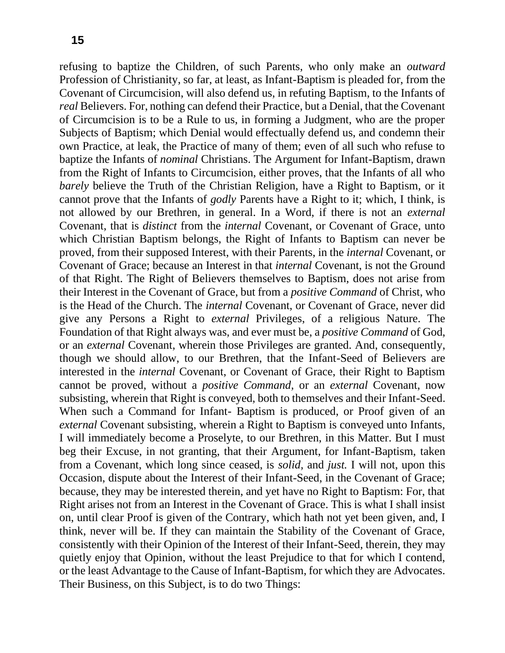refusing to baptize the Children, of such Parents, who only make an *outward*  Profession of Christianity, so far, at least, as Infant-Baptism is pleaded for, from the Covenant of Circumcision, will also defend us, in refuting Baptism, to the Infants of *real* Believers. For, nothing can defend their Practice, but a Denial, that the Covenant of Circumcision is to be a Rule to us, in forming a Judgment, who are the proper Subjects of Baptism; which Denial would effectually defend us, and condemn their own Practice, at leak, the Practice of many of them; even of all such who refuse to baptize the Infants of *nominal* Christians. The Argument for Infant-Baptism, drawn from the Right of Infants to Circumcision, either proves, that the Infants of all who *barely* believe the Truth of the Christian Religion, have a Right to Baptism, or it cannot prove that the Infants of *godly* Parents have a Right to it; which, I think, is not allowed by our Brethren, in general. In a Word, if there is not an *external*  Covenant, that is *distinct* from the *internal* Covenant, or Covenant of Grace, unto which Christian Baptism belongs, the Right of Infants to Baptism can never be proved, from their supposed Interest, with their Parents, in the *internal* Covenant, or Covenant of Grace; because an Interest in that *internal* Covenant, is not the Ground of that Right. The Right of Believers themselves to Baptism, does not arise from their Interest in the Covenant of Grace, but from a *positive Command* of Christ, who is the Head of the Church. The *internal* Covenant, or Covenant of Grace, never did give any Persons a Right to *external* Privileges, of a religious Nature. The Foundation of that Right always was, and ever must be, a *positive Command* of God, or an *external* Covenant, wherein those Privileges are granted. And, consequently, though we should allow, to our Brethren, that the Infant-Seed of Believers are interested in the *internal* Covenant, or Covenant of Grace, their Right to Baptism cannot be proved, without a *positive Command,* or an *external* Covenant, now subsisting, wherein that Right is conveyed, both to themselves and their Infant-Seed. When such a Command for Infant- Baptism is produced, or Proof given of an *external* Covenant subsisting, wherein a Right to Baptism is conveyed unto Infants, I will immediately become a Proselyte, to our Brethren, in this Matter. But I must beg their Excuse, in not granting, that their Argument, for Infant-Baptism, taken from a Covenant, which long since ceased, is *solid,* and *just.* I will not, upon this Occasion, dispute about the Interest of their Infant-Seed, in the Covenant of Grace; because, they may be interested therein, and yet have no Right to Baptism: For, that Right arises not from an Interest in the Covenant of Grace. This is what I shall insist on, until clear Proof is given of the Contrary, which hath not yet been given, and, I think, never will be. If they can maintain the Stability of the Covenant of Grace, consistently with their Opinion of the Interest of their Infant-Seed, therein, they may quietly enjoy that Opinion, without the least Prejudice to that for which I contend, or the least Advantage to the Cause of Infant-Baptism, for which they are Advocates. Their Business, on this Subject, is to do two Things: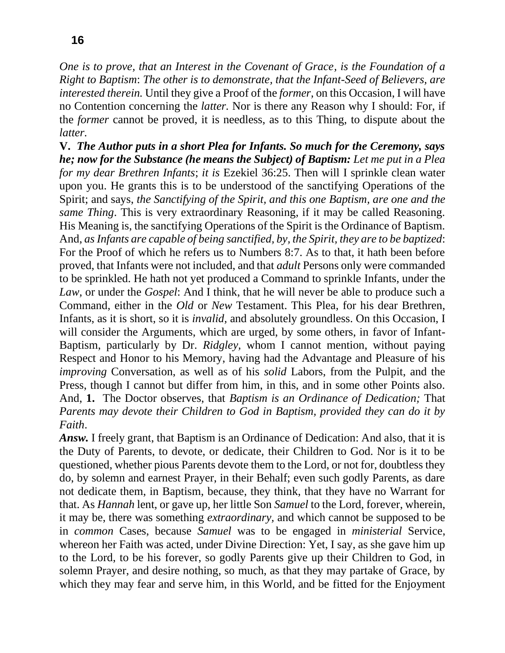*One is to prove, that an Interest in the Covenant of Grace, is the Foundation of a Right to Baptism*: *The other is to demonstrate, that the Infant-Seed of Believers, are interested therein.* Until they give a Proof of the *former,* on this Occasion, I will have no Contention concerning the *latter.* Nor is there any Reason why I should: For, if the *former* cannot be proved, it is needless, as to this Thing, to dispute about the *latter.*

**V.** *The Author puts in a short Plea for Infants. So much for the Ceremony, says he; now for the Substance (he means the Subject) of Baptism: Let me put in a Plea for my dear Brethren Infants*; *it is* Ezekiel 36:25. Then will I sprinkle clean water upon you. He grants this is to be understood of the sanctifying Operations of the Spirit; and says, *the Sanctifying of the Spirit, and this one Baptism, are one and the same Thing*. This is very extraordinary Reasoning, if it may be called Reasoning. His Meaning is, the sanctifying Operations of the Spirit is the Ordinance of Baptism. And, *as Infants are capable of being sanctified, by, the Spirit, they are to be baptized*: For the Proof of which he refers us to Numbers 8:7. As to that, it hath been before proved, that Infants were not included, and that *adult* Persons only were commanded to be sprinkled. He hath not yet produced a Command to sprinkle Infants, under the *Law,* or under the *Gospel*: And I think, that he will never be able to produce such a Command, either in the *Old* or *New* Testament. This Plea, for his dear Brethren, Infants, as it is short, so it is *invalid,* and absolutely groundless. On this Occasion, I will consider the Arguments, which are urged, by some others, in favor of Infant-Baptism, particularly by Dr. *Ridgley,* whom I cannot mention, without paying Respect and Honor to his Memory, having had the Advantage and Pleasure of his *improving* Conversation, as well as of his *solid* Labors, from the Pulpit, and the Press, though I cannot but differ from him, in this, and in some other Points also. And, **1.** The Doctor observes, that *Baptism is an Ordinance of Dedication;* That *Parents may devote their Children to God in Baptism, provided they can do it by Faith*.

*Answ.* I freely grant, that Baptism is an Ordinance of Dedication: And also, that it is the Duty of Parents, to devote, or dedicate, their Children to God. Nor is it to be questioned, whether pious Parents devote them to the Lord, or not for, doubtless they do, by solemn and earnest Prayer, in their Behalf; even such godly Parents, as dare not dedicate them, in Baptism, because, they think, that they have no Warrant for that. As *Hannah* lent, or gave up, her little Son *Samuel* to the Lord, forever, wherein, it may be, there was something *extraordinary,* and which cannot be supposed to be in *common* Cases, because *Samuel* was to be engaged in *ministerial* Service, whereon her Faith was acted, under Divine Direction: Yet, I say, as she gave him up to the Lord, to be his forever, so godly Parents give up their Children to God, in solemn Prayer, and desire nothing, so much, as that they may partake of Grace, by which they may fear and serve him, in this World, and be fitted for the Enjoyment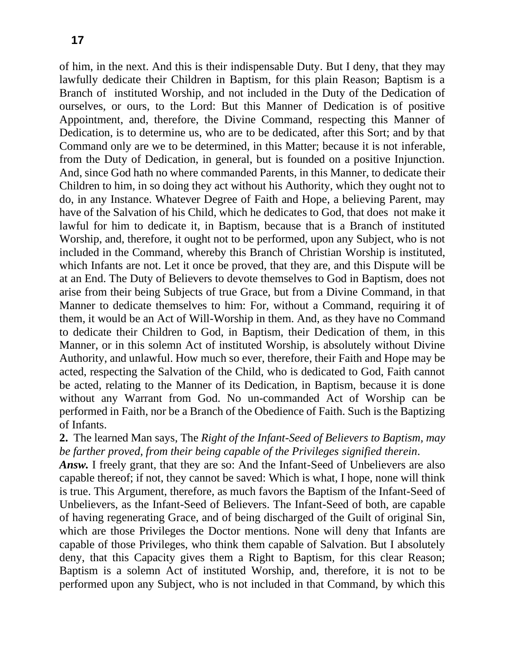of him, in the next. And this is their indispensable Duty. But I deny, that they may lawfully dedicate their Children in Baptism, for this plain Reason; Baptism is a Branch of instituted Worship, and not included in the Duty of the Dedication of ourselves, or ours, to the Lord: But this Manner of Dedication is of positive Appointment, and, therefore, the Divine Command, respecting this Manner of Dedication, is to determine us, who are to be dedicated, after this Sort; and by that Command only are we to be determined, in this Matter; because it is not inferable, from the Duty of Dedication, in general, but is founded on a positive Injunction. And, since God hath no where commanded Parents, in this Manner, to dedicate their Children to him, in so doing they act without his Authority, which they ought not to do, in any Instance. Whatever Degree of Faith and Hope, a believing Parent, may have of the Salvation of his Child, which he dedicates to God, that does not make it lawful for him to dedicate it, in Baptism, because that is a Branch of instituted Worship, and, therefore, it ought not to be performed, upon any Subject, who is not included in the Command, whereby this Branch of Christian Worship is instituted, which Infants are not. Let it once be proved, that they are, and this Dispute will be at an End. The Duty of Believers to devote themselves to God in Baptism, does not arise from their being Subjects of true Grace, but from a Divine Command, in that Manner to dedicate themselves to him: For, without a Command, requiring it of them, it would be an Act of Will-Worship in them. And, as they have no Command to dedicate their Children to God, in Baptism, their Dedication of them, in this Manner, or in this solemn Act of instituted Worship, is absolutely without Divine Authority, and unlawful. How much so ever, therefore, their Faith and Hope may be acted, respecting the Salvation of the Child, who is dedicated to God, Faith cannot be acted, relating to the Manner of its Dedication, in Baptism, because it is done without any Warrant from God. No un-commanded Act of Worship can be performed in Faith, nor be a Branch of the Obedience of Faith. Such is the Baptizing of Infants.

**2.** The learned Man says, The *Right of the Infant-Seed of Believers to Baptism, may be farther proved, from their being capable of the Privileges signified therein*.

*Answ.* I freely grant, that they are so: And the Infant-Seed of Unbelievers are also capable thereof; if not, they cannot be saved: Which is what, I hope, none will think is true. This Argument, therefore, as much favors the Baptism of the Infant-Seed of Unbelievers, as the Infant-Seed of Believers. The Infant-Seed of both, are capable of having regenerating Grace, and of being discharged of the Guilt of original Sin, which are those Privileges the Doctor mentions. None will deny that Infants are capable of those Privileges, who think them capable of Salvation. But I absolutely deny, that this Capacity gives them a Right to Baptism, for this clear Reason; Baptism is a solemn Act of instituted Worship, and, therefore, it is not to be performed upon any Subject, who is not included in that Command, by which this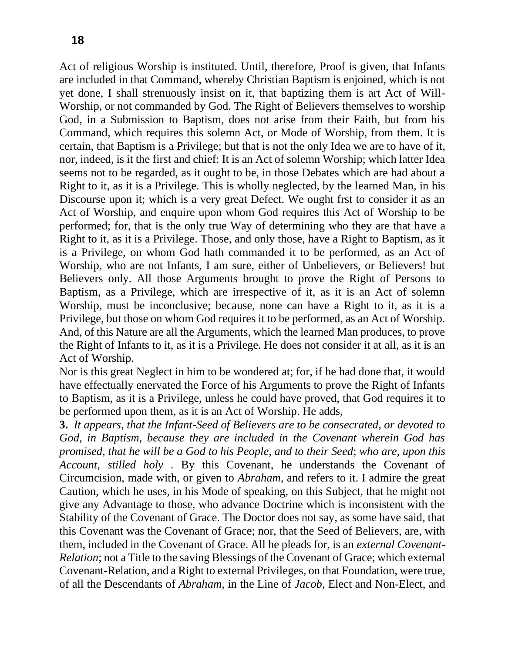Act of religious Worship is instituted. Until, therefore, Proof is given, that Infants are included in that Command, whereby Christian Baptism is enjoined, which is not yet done, I shall strenuously insist on it, that baptizing them is art Act of Will-Worship, or not commanded by God. The Right of Believers themselves to worship God, in a Submission to Baptism, does not arise from their Faith, but from his Command, which requires this solemn Act, or Mode of Worship, from them. It is certain, that Baptism is a Privilege; but that is not the only Idea we are to have of it, nor, indeed, is it the first and chief: It is an Act of solemn Worship; which latter Idea seems not to be regarded, as it ought to be, in those Debates which are had about a Right to it, as it is a Privilege. This is wholly neglected, by the learned Man, in his Discourse upon it; which is a very great Defect. We ought frst to consider it as an Act of Worship, and enquire upon whom God requires this Act of Worship to be performed; for, that is the only true Way of determining who they are that have a Right to it, as it is a Privilege. Those, and only those, have a Right to Baptism, as it is a Privilege, on whom God hath commanded it to be performed, as an Act of Worship, who are not Infants, I am sure, either of Unbelievers, or Believers! but Believers only. All those Arguments brought to prove the Right of Persons to Baptism, as a Privilege, which are irrespective of it, as it is an Act of solemn Worship, must be inconclusive; because, none can have a Right to it, as it is a Privilege, but those on whom God requires it to be performed, as an Act of Worship. And, of this Nature are all the Arguments, which the learned Man produces, to prove the Right of Infants to it, as it is a Privilege. He does not consider it at all, as it is an Act of Worship.

Nor is this great Neglect in him to be wondered at; for, if he had done that, it would have effectually enervated the Force of his Arguments to prove the Right of Infants to Baptism, as it is a Privilege, unless he could have proved, that God requires it to be performed upon them, as it is an Act of Worship. He adds,

**3.** *It appears, that the Infant-Seed of Believers are to be consecrated, or devoted to God, in Baptism, because they are included in the Covenant wherein God has promised, that he will be a God to his People, and to their Seed*; *who are, upon this Account, stilled holy .* By this Covenant, he understands the Covenant of Circumcision, made with, or given to *Abraham,* and refers to it. I admire the great Caution, which he uses, in his Mode of speaking, on this Subject, that he might not give any Advantage to those, who advance Doctrine which is inconsistent with the Stability of the Covenant of Grace. The Doctor does not say, as some have said, that this Covenant was the Covenant of Grace; nor, that the Seed of Believers, are, with them, included in the Covenant of Grace. All he pleads for, is an *external Covenant-Relation*; not a Title to the saving Blessings of the Covenant of Grace; which external Covenant-Relation, and a Right to external Privileges, on that Foundation, were true, of all the Descendants of *Abraham,* in the Line of *Jacob,* Elect and Non-Elect, and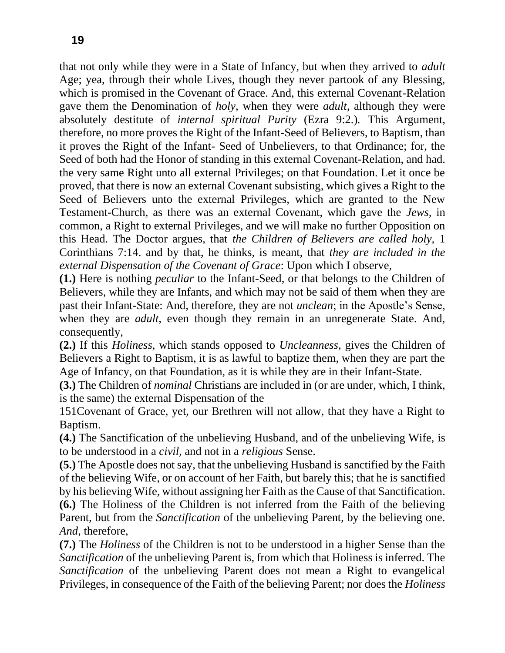that not only while they were in a State of Infancy, but when they arrived to *adult*  Age; yea, through their whole Lives, though they never partook of any Blessing, which is promised in the Covenant of Grace. And, this external Covenant-Relation gave them the Denomination of *holy,* when they were *adult,* although they were absolutely destitute of *internal spiritual Purity* (Ezra 9:2.)*.* This Argument, therefore, no more proves the Right of the Infant-Seed of Believers, to Baptism, than it proves the Right of the Infant- Seed of Unbelievers, to that Ordinance; for, the Seed of both had the Honor of standing in this external Covenant-Relation, and had. the very same Right unto all external Privileges; on that Foundation. Let it once be proved, that there is now an external Covenant subsisting, which gives a Right to the Seed of Believers unto the external Privileges, which are granted to the New Testament-Church, as there was an external Covenant, which gave the *Jews,* in common, a Right to external Privileges, and we will make no further Opposition on this Head. The Doctor argues, that *the Children of Believers are called holy,* 1 Corinthians 7:14. and by that, he thinks, is meant, that *they are included in the external Dispensation of the Covenant of Grace*: Upon which I observe,

**(1.)** Here is nothing *peculiar* to the Infant-Seed, or that belongs to the Children of Believers, while they are Infants, and which may not be said of them when they are past their Infant-State: And, therefore, they are not *unclean*; in the Apostle's Sense, when they are *adult*, even though they remain in an unregenerate State. And, consequently,

**(2.)** If this *Holiness,* which stands opposed to *Uncleanness,* gives the Children of Believers a Right to Baptism, it is as lawful to baptize them, when they are part the Age of Infancy, on that Foundation, as it is while they are in their Infant-State.

**(3.)** The Children of *nominal* Christians are included in (or are under, which, I think, is the same) the external Dispensation of the

151Covenant of Grace, yet, our Brethren will not allow, that they have a Right to Baptism.

**(4.)** The Sanctification of the unbelieving Husband, and of the unbelieving Wife, is to be understood in a *civil,* and not in a *religious* Sense.

**(5.)** The Apostle does not say, that the unbelieving Husband is sanctified by the Faith of the believing Wife, or on account of her Faith, but barely this; that he is sanctified by his believing Wife, without assigning her Faith as the Cause of that Sanctification.

**(6.)** The Holiness of the Children is not inferred from the Faith of the believing Parent, but from the *Sanctification* of the unbelieving Parent, by the believing one. *And,* therefore,

**(7.)** The *Holiness* of the Children is not to be understood in a higher Sense than the *Sanctification* of the unbelieving Parent is, from which that Holiness is inferred. The *Sanctification* of the unbelieving Parent does not mean a Right to evangelical Privileges, in consequence of the Faith of the believing Parent; nor does the *Holiness*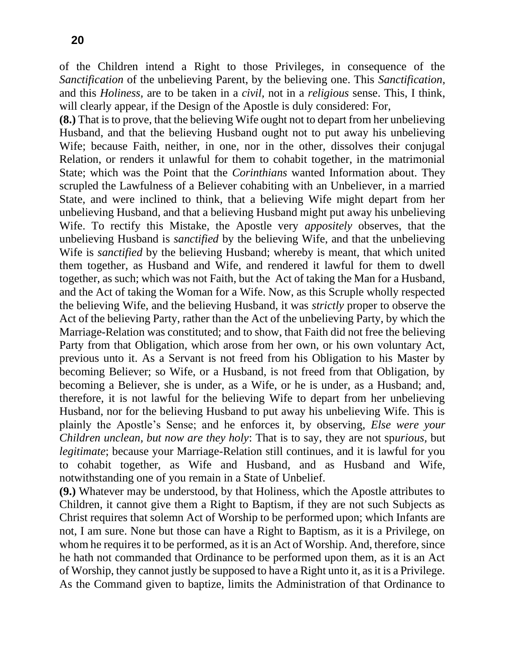of the Children intend a Right to those Privileges, in consequence of the *Sanctification* of the unbelieving Parent, by the believing one. This *Sanctification,*  and this *Holiness,* are to be taken in a *civil,* not in a *religious* sense. This, I think, will clearly appear, if the Design of the Apostle is duly considered: For,

**(8.)** That is to prove, that the believing Wife ought not to depart from her unbelieving Husband, and that the believing Husband ought not to put away his unbelieving Wife; because Faith, neither, in one, nor in the other, dissolves their conjugal Relation, or renders it unlawful for them to cohabit together, in the matrimonial State; which was the Point that the *Corinthians* wanted Information about. They scrupled the Lawfulness of a Believer cohabiting with an Unbeliever, in a married State, and were inclined to think, that a believing Wife might depart from her unbelieving Husband, and that a believing Husband might put away his unbelieving Wife. To rectify this Mistake, the Apostle very *appositely* observes, that the unbelieving Husband is *sanctified* by the believing Wife, and that the unbelieving Wife is *sanctified* by the believing Husband; whereby is meant, that which united them together, as Husband and Wife, and rendered it lawful for them to dwell together, as such; which was not Faith, but the Act of taking the Man for a Husband, and the Act of taking the Woman for a Wife. Now, as this Scruple wholly respected the believing Wife, and the believing Husband, it was *strictly* proper to observe the Act of the believing Party, rather than the Act of the unbelieving Party, by which the Marriage-Relation was constituted; and to show, that Faith did not free the believing Party from that Obligation, which arose from her own, or his own voluntary Act, previous unto it. As a Servant is not freed from his Obligation to his Master by becoming Believer; so Wife, or a Husband, is not freed from that Obligation, by becoming a Believer, she is under, as a Wife, or he is under, as a Husband; and, therefore, it is not lawful for the believing Wife to depart from her unbelieving Husband, nor for the believing Husband to put away his unbelieving Wife. This is plainly the Apostle's Sense; and he enforces it, by observing, *Else were your Children unclean, but now are they holy*: That is to say, they are not sp*urious,* but *legitimate*; because your Marriage-Relation still continues, and it is lawful for you to cohabit together, as Wife and Husband, and as Husband and Wife, notwithstanding one of you remain in a State of Unbelief.

**(9.)** Whatever may be understood, by that Holiness, which the Apostle attributes to Children, it cannot give them a Right to Baptism, if they are not such Subjects as Christ requires that solemn Act of Worship to be performed upon; which Infants are not, I am sure. None but those can have a Right to Baptism, as it is a Privilege, on whom he requires it to be performed, as it is an Act of Worship. And, therefore, since he hath not commanded that Ordinance to be performed upon them, as it is an Act of Worship, they cannot justly be supposed to have a Right unto it, as it is a Privilege. As the Command given to baptize, limits the Administration of that Ordinance to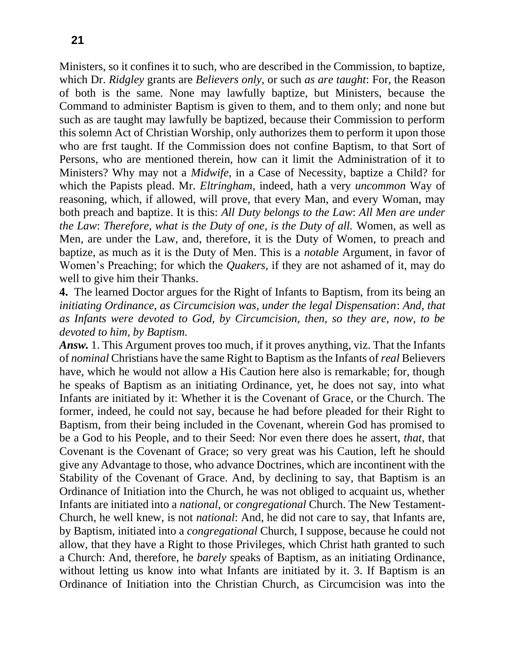Ministers, so it confines it to such, who are described in the Commission, to baptize, which Dr. *Ridgley* grants are *Believers only,* or such *as are taught*: For, the Reason of both is the same. None may lawfully baptize, but Ministers, because the Command to administer Baptism is given to them, and to them only; and none but such as are taught may lawfully be baptized, because their Commission to perform this solemn Act of Christian Worship, only authorizes them to perform it upon those who are frst taught. If the Commission does not confine Baptism, to that Sort of Persons, who are mentioned therein, how can it limit the Administration of it to Ministers? Why may not a *Midwife,* in a Case of Necessity, baptize a Child? for which the Papists plead. Mr. *Eltringham,* indeed, hath a very *uncommon* Way of reasoning, which, if allowed, will prove, that every Man, and every Woman, may both preach and baptize. It is this: *All Duty belongs to the Law*: *All Men are under the Law*: *Therefore, what is the Duty of one, is the Duty of all.* Women, as well as Men, are under the Law, and, therefore, it is the Duty of Women, to preach and baptize, as much as it is the Duty of Men. This is a *notable* Argument, in favor of Women's Preaching; for which the *Quakers,* if they are not ashamed of it, may do well to give him their Thanks.

**4.** The learned Doctor argues for the Right of Infants to Baptism, from its being an *initiating Ordinance, as Circumcision was, under the legal Dispensation*: *And, that as Infants were devoted to God, by Circumcision, then, so they are, now, to be devoted to him, by Baptism.*

*Answ.* 1. This Argument proves too much, if it proves anything, viz. That the Infants of *nominal* Christians have the same Right to Baptism as the Infants of *real* Believers have, which he would not allow a His Caution here also is remarkable; for, though he speaks of Baptism as an initiating Ordinance, yet, he does not say, into what Infants are initiated by it: Whether it is the Covenant of Grace, or the Church. The former, indeed, he could not say, because he had before pleaded for their Right to Baptism, from their being included in the Covenant, wherein God has promised to be a God to his People, and to their Seed: Nor even there does he assert, *that,* that Covenant is the Covenant of Grace; so very great was his Caution, left he should give any Advantage to those, who advance Doctrines, which are incontinent with the Stability of the Covenant of Grace. And, by declining to say, that Baptism is an Ordinance of Initiation into the Church, he was not obliged to acquaint us, whether Infants are initiated into a *national,* or *congregational* Church. The New Testament-Church, he well knew, is not *national*: And, he did not care to say, that Infants are, by Baptism, initiated into a *congregational* Church, I suppose, because he could not allow, that they have a Right to those Privileges, which Christ hath granted to such a Church: And, therefore, he *barely sp*eaks of Baptism, as an initiating Ordinance, without letting us know into what Infants are initiated by it. 3. If Baptism is an Ordinance of Initiation into the Christian Church, as Circumcision was into the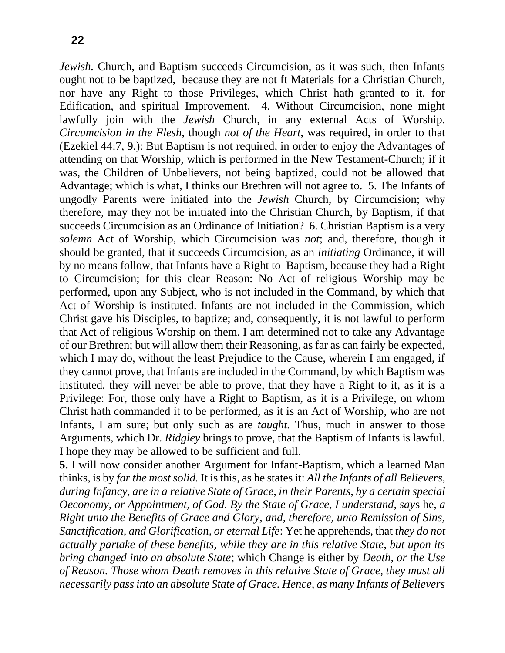*Jewish.* Church, and Baptism succeeds Circumcision, as it was such, then Infants ought not to be baptized, because they are not ft Materials for a Christian Church, nor have any Right to those Privileges, which Christ hath granted to it, for Edification, and spiritual Improvement. 4. Without Circumcision, none might lawfully join with the *Jewish* Church, in any external Acts of Worship. *Circumcision in the Flesh,* though *not of the Heart,* was required, in order to that (Ezekiel 44:7, 9.): But Baptism is not required, in order to enjoy the Advantages of attending on that Worship, which is performed in the New Testament-Church; if it was, the Children of Unbelievers, not being baptized, could not be allowed that Advantage; which is what, I thinks our Brethren will not agree to. 5. The Infants of ungodly Parents were initiated into the *Jewish* Church, by Circumcision; why therefore, may they not be initiated into the Christian Church, by Baptism, if that succeeds Circumcision as an Ordinance of Initiation? 6. Christian Baptism is a very *solemn* Act of Worship, which Circumcision was *not*; and, therefore, though it should be granted, that it succeeds Circumcision, as an *initiating* Ordinance, it will by no means follow, that Infants have a Right to Baptism, because they had a Right to Circumcision; for this clear Reason: No Act of religious Worship may be performed, upon any Subject, who is not included in the Command, by which that Act of Worship is instituted. Infants are not included in the Commission, which Christ gave his Disciples, to baptize; and, consequently, it is not lawful to perform that Act of religious Worship on them. I am determined not to take any Advantage of our Brethren; but will allow them their Reasoning, as far as can fairly be expected, which I may do, without the least Prejudice to the Cause, wherein I am engaged, if they cannot prove, that Infants are included in the Command, by which Baptism was instituted, they will never be able to prove, that they have a Right to it, as it is a Privilege: For, those only have a Right to Baptism, as it is a Privilege, on whom Christ hath commanded it to be performed, as it is an Act of Worship, who are not Infants, I am sure; but only such as are *taught.* Thus, much in answer to those Arguments, which Dr. *Ridgley* brings to prove, that the Baptism of Infants is lawful. I hope they may be allowed to be sufficient and full.

**5.** I will now consider another Argument for Infant-Baptism, which a learned Man thinks, is by *far the most solid.* It is this, as he states it: *All the Infants of all Believers, during Infancy, are in a relative State of Grace, in their Parents, by a certain special Oeconomy, or Appointment, of God. By the State of Grace, I understand, say*s he, *a Right unto the Benefits of Grace and Glory, and, therefore, unto Remission of Sins, Sanctification, and Glorification, or eternal Life*: Yet he apprehends, that *they do not actually partake of these benefits, while they are in this relative State, but upon its bring changed into an absolute State*; which Change is either by *Death, or the Use of Reason. Those whom Death removes in this relative State of Grace, they must all necessarily pass into an absolute State of Grace. Hence, as many Infants of Believers*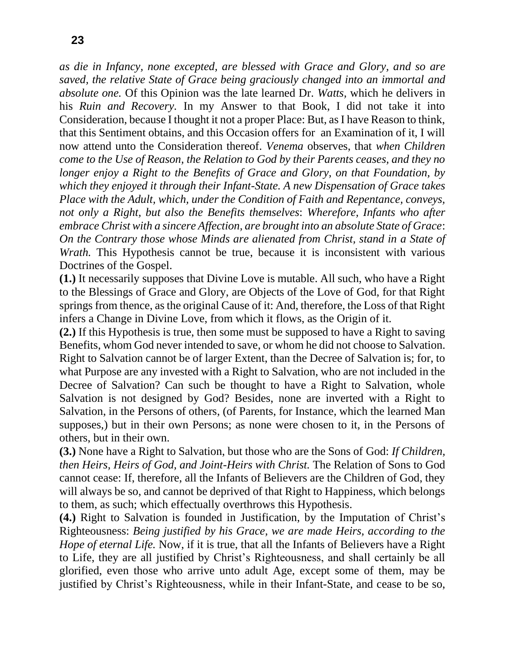*as die in Infancy, none excepted, are blessed with Grace and Glory, and so are saved, the relative State of Grace being graciously changed into an immortal and absolute one.* Of this Opinion was the late learned Dr. *Watts,* which he delivers in his *Ruin and Recovery.* In my Answer to that Book, I did not take it into Consideration, because I thought it not a proper Place: But, as I have Reason to think, that this Sentiment obtains, and this Occasion offers for an Examination of it, I will now attend unto the Consideration thereof. *Venema* observes, that *when Children come to the Use of Reason, the Relation to God by their Parents ceases, and they no longer enjoy a Right to the Benefits of Grace and Glory, on that Foundation, by which they enjoyed it through their Infant-State. A new Dispensation of Grace takes Place with the Adult, which, under the Condition of Faith and Repentance, conveys, not only a Right, but also the Benefits themselves*: *Wherefore, Infants who after embrace Christ with a sincere Affection, are brought into an absolute State of Grace*: *On the Contrary those whose Minds are alienated from Christ, stand in a State of Wrath.* This Hypothesis cannot be true, because it is inconsistent with various Doctrines of the Gospel.

**(1.)** It necessarily supposes that Divine Love is mutable. All such, who have a Right to the Blessings of Grace and Glory, are Objects of the Love of God, for that Right springs from thence, as the original Cause of it: And, therefore, the Loss of that Right infers a Change in Divine Love, from which it flows, as the Origin of it.

**(2.)** If this Hypothesis is true, then some must be supposed to have a Right to saving Benefits, whom God never intended to save, or whom he did not choose to Salvation. Right to Salvation cannot be of larger Extent, than the Decree of Salvation is; for, to what Purpose are any invested with a Right to Salvation, who are not included in the Decree of Salvation? Can such be thought to have a Right to Salvation, whole Salvation is not designed by God? Besides, none are inverted with a Right to Salvation, in the Persons of others, (of Parents, for Instance, which the learned Man supposes,) but in their own Persons; as none were chosen to it, in the Persons of others, but in their own.

**(3.)** None have a Right to Salvation, but those who are the Sons of God: *If Children, then Heirs, Heirs of God, and Joint-Heirs with Christ.* The Relation of Sons to God cannot cease: If, therefore, all the Infants of Believers are the Children of God, they will always be so, and cannot be deprived of that Right to Happiness, which belongs to them, as such; which effectually overthrows this Hypothesis.

**(4.)** Right to Salvation is founded in Justification, by the Imputation of Christ's Righteousness: *Being justified by his Grace, we are made Heirs, according to the Hope of eternal Life.* Now, if it is true, that all the Infants of Believers have a Right to Life, they are all justified by Christ's Righteousness, and shall certainly be all glorified, even those who arrive unto adult Age, except some of them, may be justified by Christ's Righteousness, while in their Infant-State, and cease to be so,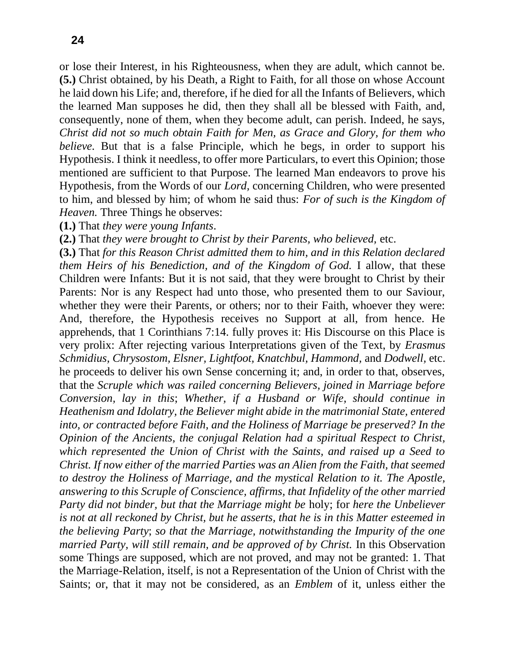or lose their Interest, in his Righteousness, when they are adult, which cannot be. **(5.)** Christ obtained, by his Death, a Right to Faith, for all those on whose Account he laid down his Life; and, therefore, if he died for all the Infants of Believers, which the learned Man supposes he did, then they shall all be blessed with Faith, and, consequently, none of them, when they become adult, can perish. Indeed, he says, *Christ did not so much obtain Faith for Men, as Grace and Glory, for them who believe.* But that is a false Principle, which he begs, in order to support his Hypothesis. I think it needless, to offer more Particulars, to evert this Opinion; those mentioned are sufficient to that Purpose. The learned Man endeavors to prove his Hypothesis, from the Words of our *Lord,* concerning Children, who were presented to him, and blessed by him; of whom he said thus: *For of such is the Kingdom of Heaven.* Three Things he observes:

**(1.)** That *they were young Infants*.

**(2.)** That *they were brought to Christ by their Parents, who believed,* etc.

**(3.)** That *for this Reason Christ admitted them to him, and in this Relation declared them Heirs of his Benediction, and of the Kingdom of God.* I allow, that these Children were Infants: But it is not said, that they were brought to Christ by their Parents: Nor is any Respect had unto those, who presented them to our Saviour, whether they were their Parents, or others; nor to their Faith, whoever they were: And, therefore, the Hypothesis receives no Support at all, from hence. He apprehends, that 1 Corinthians 7:14. fully proves it: His Discourse on this Place is very prolix: After rejecting various Interpretations given of the Text, by *Erasmus Schmidius, Chrysostom, Elsner, Lightfoot, Knatchbul, Hammond,* and *Dodwell,* etc. he proceeds to deliver his own Sense concerning it; and, in order to that, observes, that the *Scruple which was railed concerning Believers, joined in Marriage before Conversion, lay in this*; *Whether, if a Husband or Wife, should continue in Heathenism and Idolatry, the Believer might abide in the matrimonial State, entered into, or contracted before Faith, and the Holiness of Marriage be preserved? In the Opinion of the Ancients, the conjugal Relation had a spiritual Respect to Christ, which represented the Union of Christ with the Saints, and raised up a Seed to Christ. If now either of the married Parties was an Alien from the Faith, that seemed to destroy the Holiness of Marriage, and the mystical Relation to it. The Apostle, answering to this Scruple of Conscience, affirms, that Infidelity of the other married Party did not binder, but that the Marriage might be* holy; for *here the Unbeliever is not at all reckoned by Christ, but he asserts, that he is in this Matter esteemed in the believing Party*; *so that the Marriage, notwithstanding the Impurity of the one married Party, will still remain, and be approved of by Christ. In this Observation* some Things are supposed, which are not proved, and may not be granted: 1. That the Marriage-Relation, itself, is not a Representation of the Union of Christ with the Saints; or, that it may not be considered, as an *Emblem* of it, unless either the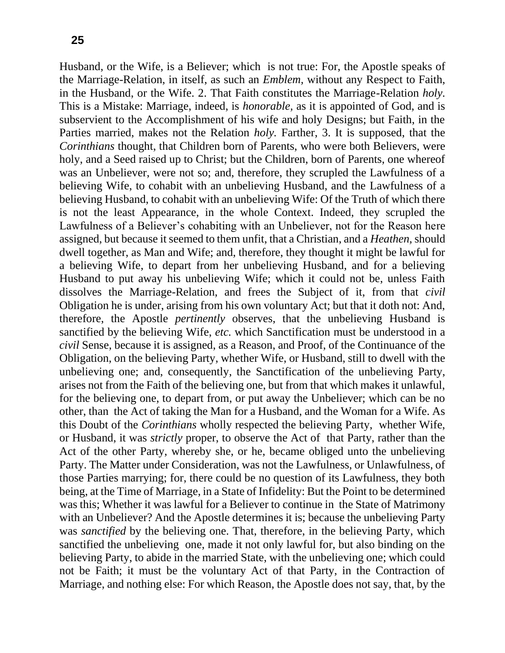Husband, or the Wife, is a Believer; which is not true: For, the Apostle speaks of the Marriage-Relation, in itself, as such an *Emblem,* without any Respect to Faith, in the Husband, or the Wife. 2. That Faith constitutes the Marriage-Relation *holy.*  This is a Mistake: Marriage, indeed, is *honorable,* as it is appointed of God, and is subservient to the Accomplishment of his wife and holy Designs; but Faith, in the Parties married, makes not the Relation *holy.* Farther, 3. It is supposed, that the *Corinthians* thought, that Children born of Parents, who were both Believers, were holy, and a Seed raised up to Christ; but the Children, born of Parents, one whereof was an Unbeliever, were not so; and, therefore, they scrupled the Lawfulness of a believing Wife, to cohabit with an unbelieving Husband, and the Lawfulness of a believing Husband, to cohabit with an unbelieving Wife: Of the Truth of which there is not the least Appearance, in the whole Context. Indeed, they scrupled the Lawfulness of a Believer's cohabiting with an Unbeliever, not for the Reason here assigned, but because it seemed to them unfit, that a Christian, and a *Heathen,* should dwell together, as Man and Wife; and, therefore, they thought it might be lawful for a believing Wife, to depart from her unbelieving Husband, and for a believing Husband to put away his unbelieving Wife; which it could not be, unless Faith dissolves the Marriage-Relation, and frees the Subject of it, from that *civil*  Obligation he is under, arising from his own voluntary Act; but that it doth not: And, therefore, the Apostle *pertinently* observes, that the unbelieving Husband is sanctified by the believing Wife, *etc.* which Sanctification must be understood in a *civil* Sense, because it is assigned, as a Reason, and Proof, of the Continuance of the Obligation, on the believing Party, whether Wife, or Husband, still to dwell with the unbelieving one; and, consequently, the Sanctification of the unbelieving Party, arises not from the Faith of the believing one, but from that which makes it unlawful, for the believing one, to depart from, or put away the Unbeliever; which can be no other, than the Act of taking the Man for a Husband, and the Woman for a Wife. As this Doubt of the *Corinthians* wholly respected the believing Party, whether Wife, or Husband, it was *strictly* proper, to observe the Act of that Party, rather than the Act of the other Party, whereby she, or he, became obliged unto the unbelieving Party. The Matter under Consideration, was not the Lawfulness, or Unlawfulness, of those Parties marrying; for, there could be no question of its Lawfulness, they both being, at the Time of Marriage, in a State of Infidelity: But the Point to be determined was this; Whether it was lawful for a Believer to continue in the State of Matrimony with an Unbeliever? And the Apostle determines it is; because the unbelieving Party was *sanctified* by the believing one. That, therefore, in the believing Party, which sanctified the unbelieving one, made it not only lawful for, but also binding on the believing Party, to abide in the married State, with the unbelieving one; which could not be Faith; it must be the voluntary Act of that Party, in the Contraction of Marriage, and nothing else: For which Reason, the Apostle does not say, that, by the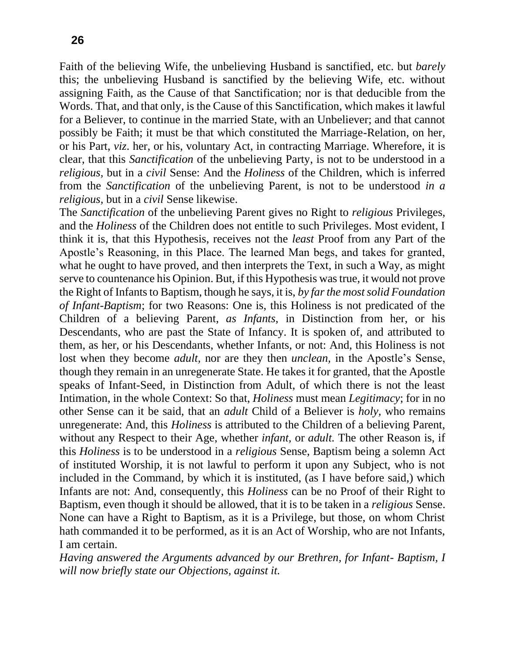Faith of the believing Wife, the unbelieving Husband is sanctified, etc. but *barely*  this; the unbelieving Husband is sanctified by the believing Wife, etc. without assigning Faith, as the Cause of that Sanctification; nor is that deducible from the Words. That, and that only, is the Cause of this Sanctification, which makes it lawful for a Believer, to continue in the married State, with an Unbeliever; and that cannot possibly be Faith; it must be that which constituted the Marriage-Relation, on her, or his Part, *viz*. her, or his, voluntary Act, in contracting Marriage. Wherefore, it is clear, that this *Sanctification* of the unbelieving Party, is not to be understood in a *religious,* but in a *civil* Sense: And the *Holiness* of the Children, which is inferred from the *Sanctification* of the unbelieving Parent, is not to be understood *in a religious,* but in a *civil* Sense likewise.

The *Sanctification* of the unbelieving Parent gives no Right to *religious* Privileges, and the *Holiness* of the Children does not entitle to such Privileges. Most evident, I think it is, that this Hypothesis, receives not the *least* Proof from any Part of the Apostle's Reasoning, in this Place. The learned Man begs, and takes for granted, what he ought to have proved, and then interprets the Text, in such a Way, as might serve to countenance his Opinion. But, if this Hypothesis was true, it would not prove the Right of Infants to Baptism, though he says, it is, *by far the most solid Foundation of Infant-Baptism*; for two Reasons: One is, this Holiness is not predicated of the Children of a believing Parent, *as Infants,* in Distinction from her, or his Descendants, who are past the State of Infancy. It is spoken of, and attributed to them, as her, or his Descendants, whether Infants, or not: And, this Holiness is not lost when they become *adult,* nor are they then *unclean,* in the Apostle's Sense, though they remain in an unregenerate State. He takes it for granted, that the Apostle speaks of Infant-Seed, in Distinction from Adult, of which there is not the least Intimation, in the whole Context: So that, *Holiness* must mean *Legitimacy*; for in no other Sense can it be said, that an *adult* Child of a Believer is *holy,* who remains unregenerate: And, this *Holiness* is attributed to the Children of a believing Parent, without any Respect to their Age, whether *infant,* or *adult.* The other Reason is, if this *Holiness* is to be understood in a *religious* Sense, Baptism being a solemn Act of instituted Worship, it is not lawful to perform it upon any Subject, who is not included in the Command, by which it is instituted, (as I have before said,) which Infants are not: And, consequently, this *Holiness* can be no Proof of their Right to Baptism, even though it should be allowed, that it is to be taken in a *religious* Sense. None can have a Right to Baptism, as it is a Privilege, but those, on whom Christ hath commanded it to be performed, as it is an Act of Worship, who are not Infants, I am certain.

*Having answered the Arguments advanced by our Brethren, for Infant- Baptism, I will now briefly state our Objections, against it.*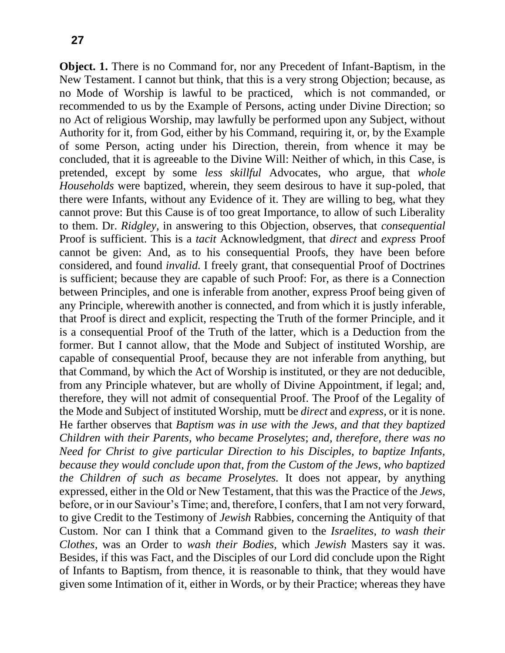**Object. 1.** There is no Command for, nor any Precedent of Infant-Baptism, in the New Testament. I cannot but think, that this is a very strong Objection; because, as no Mode of Worship is lawful to be practiced, which is not commanded, or recommended to us by the Example of Persons, acting under Divine Direction; so no Act of religious Worship, may lawfully be performed upon any Subject, without Authority for it, from God, either by his Command, requiring it, or, by the Example of some Person, acting under his Direction, therein, from whence it may be concluded, that it is agreeable to the Divine Will: Neither of which, in this Case, is pretended, except by some *less skillful* Advocates, who argue, that *whole Households* were baptized, wherein, they seem desirous to have it sup-poled, that there were Infants, without any Evidence of it. They are willing to beg, what they cannot prove: But this Cause is of too great Importance, to allow of such Liberality to them. Dr. *Ridgley,* in answering to this Objection, observes, that *consequential*  Proof is sufficient. This is a *tacit* Acknowledgment, that *direct* and *express* Proof cannot be given: And, as to his consequential Proofs, they have been before considered, and found *invalid.* I freely grant, that consequential Proof of Doctrines is sufficient; because they are capable of such Proof: For, as there is a Connection between Principles, and one is inferable from another, express Proof being given of any Principle, wherewith another is connected, and from which it is justly inferable, that Proof is direct and explicit, respecting the Truth of the former Principle, and it is a consequential Proof of the Truth of the latter, which is a Deduction from the former. But I cannot allow, that the Mode and Subject of instituted Worship, are capable of consequential Proof, because they are not inferable from anything, but that Command, by which the Act of Worship is instituted, or they are not deducible, from any Principle whatever, but are wholly of Divine Appointment, if legal; and, therefore, they will not admit of consequential Proof. The Proof of the Legality of the Mode and Subject of instituted Worship, mutt be *direct* and *express,* or it is none. He farther observes that *Baptism was in use with the Jews, and that they baptized Children with their Parents, who became Proselytes*; *and, therefore, there was no Need for Christ to give particular Direction to his Disciples, to baptize Infants, because they would conclude upon that, from the Custom of the Jews, who baptized the Children of such as became Proselytes.* It does not appear, by anything expressed, either in the Old or New Testament, that this was the Practice of the *Jews,*  before, or in our Saviour's Time; and, therefore, I confers, that I am not very forward, to give Credit to the Testimony of *Jewish* Rabbies, concerning the Antiquity of that Custom. Nor can I think that a Command given to the *Israelites, to wash their Clothes,* was an Order to *wash their Bodies,* which *Jewish* Masters say it was. Besides, if this was Fact, and the Disciples of our Lord did conclude upon the Right of Infants to Baptism, from thence, it is reasonable to think, that they would have given some Intimation of it, either in Words, or by their Practice; whereas they have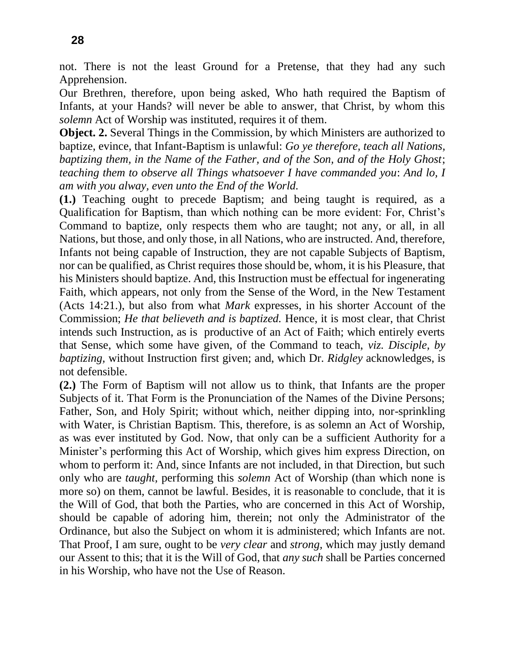not. There is not the least Ground for a Pretense, that they had any such Apprehension.

Our Brethren, therefore, upon being asked, Who hath required the Baptism of Infants, at your Hands? will never be able to answer, that Christ, by whom this *solemn* Act of Worship was instituted, requires it of them.

**Object. 2.** Several Things in the Commission, by which Ministers are authorized to baptize, evince, that Infant-Baptism is unlawful: *Go ye therefore, teach all Nations, baptizing them, in the Name of the Father, and of the Son, and of the Holy Ghost*; *teaching them to observe all Things whatsoever I have commanded you*: *And lo, I am with you alway, even unto the End of the World.*

**(1.)** Teaching ought to precede Baptism; and being taught is required, as a Qualification for Baptism, than which nothing can be more evident: For, Christ's Command to baptize, only respects them who are taught; not any, or all, in all Nations, but those, and only those, in all Nations, who are instructed. And, therefore, Infants not being capable of Instruction, they are not capable Subjects of Baptism, nor can be qualified, as Christ requires those should be, whom, it is his Pleasure, that his Ministers should baptize. And, this Instruction must be effectual for ingenerating Faith, which appears, not only from the Sense of the Word, in the New Testament (Acts 14:21.), but also from what *Mark* expresses, in his shorter Account of the Commission; *He that believeth and is baptized.* Hence, it is most clear, that Christ intends such Instruction, as is productive of an Act of Faith; which entirely everts that Sense, which some have given, of the Command to teach, *viz. Disciple, by baptizing,* without Instruction first given; and, which Dr. *Ridgley* acknowledges, is not defensible.

**(2.)** The Form of Baptism will not allow us to think, that Infants are the proper Subjects of it. That Form is the Pronunciation of the Names of the Divine Persons; Father, Son, and Holy Spirit; without which, neither dipping into, nor-sprinkling with Water, is Christian Baptism. This, therefore, is as solemn an Act of Worship, as was ever instituted by God. Now, that only can be a sufficient Authority for a Minister's performing this Act of Worship, which gives him express Direction, on whom to perform it: And, since Infants are not included, in that Direction, but such only who are *taught,* performing this *solemn* Act of Worship (than which none is more so) on them, cannot be lawful. Besides, it is reasonable to conclude, that it is the Will of God, that both the Parties, who are concerned in this Act of Worship, should be capable of adoring him, therein; not only the Administrator of the Ordinance, but also the Subject on whom it is administered; which Infants are not. That Proof, I am sure, ought to be *very clear* and *strong,* which may justly demand our Assent to this; that it is the Will of God, that *any such* shall be Parties concerned in his Worship, who have not the Use of Reason.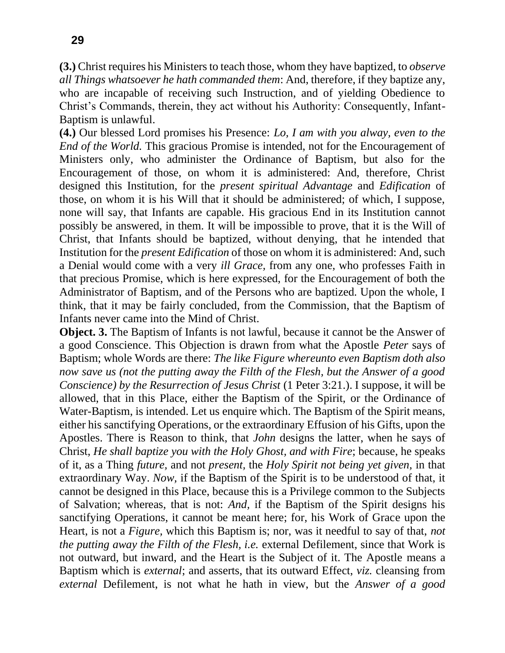**(3.)** Christ requires his Ministers to teach those, whom they have baptized, to *observe all Things whatsoever he hath commanded them*: And, therefore, if they baptize any, who are incapable of receiving such Instruction, and of yielding Obedience to Christ's Commands, therein, they act without his Authority: Consequently, Infant-Baptism is unlawful.

**(4.)** Our blessed Lord promises his Presence: *Lo, I am with you alway, even to the End of the World.* This gracious Promise is intended, not for the Encouragement of Ministers only, who administer the Ordinance of Baptism, but also for the Encouragement of those, on whom it is administered: And, therefore, Christ designed this Institution, for the *present spiritual Advantage* and *Edification* of those, on whom it is his Will that it should be administered; of which, I suppose, none will say, that Infants are capable. His gracious End in its Institution cannot possibly be answered, in them. It will be impossible to prove, that it is the Will of Christ, that Infants should be baptized, without denying, that he intended that Institution for the *present Edification* of those on whom it is administered: And, such a Denial would come with a very *ill Grace,* from any one, who professes Faith in that precious Promise, which is here expressed, for the Encouragement of both the Administrator of Baptism, and of the Persons who are baptized. Upon the whole, I think, that it may be fairly concluded, from the Commission, that the Baptism of Infants never came into the Mind of Christ.

**Object. 3.** The Baptism of Infants is not lawful, because it cannot be the Answer of a good Conscience. This Objection is drawn from what the Apostle *Peter* says of Baptism; whole Words are there: *The like Figure whereunto even Baptism doth also now save us (not the putting away the Filth of the Flesh, but the Answer of a good Conscience) by the Resurrection of Jesus Christ (1 Peter 3:21.). I suppose, it will be* allowed, that in this Place, either the Baptism of the Spirit, or the Ordinance of Water-Baptism, is intended. Let us enquire which. The Baptism of the Spirit means, either his sanctifying Operations, or the extraordinary Effusion of his Gifts, upon the Apostles. There is Reason to think, that *John* designs the latter, when he says of Christ, *He shall baptize you with the Holy Ghost, and with Fire*; because, he speaks of it, as a Thing *future,* and not *present,* the *Holy Spirit not being yet given,* in that extraordinary Way. *Now,* if the Baptism of the Spirit is to be understood of that, it cannot be designed in this Place, because this is a Privilege common to the Subjects of Salvation; whereas, that is not: *And,* if the Baptism of the Spirit designs his sanctifying Operations, it cannot be meant here; for, his Work of Grace upon the Heart, is not a *Figure,* which this Baptism is; nor, was it needful to say of that, *not the putting away the Filth of the Flesh, i.e.* external Defilement, since that Work is not outward, but inward, and the Heart is the Subject of it. The Apostle means a Baptism which is *external*; and asserts, that its outward Effect, *viz.* cleansing from *external* Defilement, is not what he hath in view, but the *Answer of a good*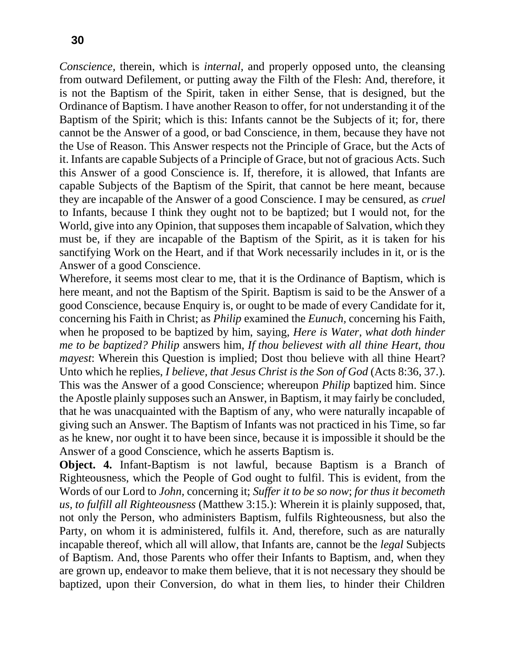*Conscience,* therein, which is *internal,* and properly opposed unto, the cleansing from outward Defilement, or putting away the Filth of the Flesh: And, therefore, it is not the Baptism of the Spirit, taken in either Sense, that is designed, but the Ordinance of Baptism. I have another Reason to offer, for not understanding it of the Baptism of the Spirit; which is this: Infants cannot be the Subjects of it; for, there cannot be the Answer of a good, or bad Conscience, in them, because they have not the Use of Reason. This Answer respects not the Principle of Grace, but the Acts of it. Infants are capable Subjects of a Principle of Grace, but not of gracious Acts. Such this Answer of a good Conscience is. If, therefore, it is allowed, that Infants are capable Subjects of the Baptism of the Spirit, that cannot be here meant, because they are incapable of the Answer of a good Conscience. I may be censured, as *cruel*  to Infants, because I think they ought not to be baptized; but I would not, for the World, give into any Opinion, that supposes them incapable of Salvation, which they must be, if they are incapable of the Baptism of the Spirit, as it is taken for his sanctifying Work on the Heart, and if that Work necessarily includes in it, or is the Answer of a good Conscience.

Wherefore, it seems most clear to me, that it is the Ordinance of Baptism, which is here meant, and not the Baptism of the Spirit. Baptism is said to be the Answer of a good Conscience, because Enquiry is, or ought to be made of every Candidate for it, concerning his Faith in Christ; as *Philip* examined the *Eunuch,* concerning his Faith, when he proposed to be baptized by him, saying, *Here is Water, what doth hinder me to be baptized? Philip* answers him, *If thou believest with all thine Heart, thou mayest*: Wherein this Question is implied; Dost thou believe with all thine Heart? Unto which he replies, *I believe, that Jesus Christ is the Son of God* (Acts 8:36, 37.)*.*  This was the Answer of a good Conscience; whereupon *Philip* baptized him. Since the Apostle plainly supposes such an Answer, in Baptism, it may fairly be concluded, that he was unacquainted with the Baptism of any, who were naturally incapable of giving such an Answer. The Baptism of Infants was not practiced in his Time, so far as he knew, nor ought it to have been since, because it is impossible it should be the Answer of a good Conscience, which he asserts Baptism is.

**Object. 4.** Infant-Baptism is not lawful, because Baptism is a Branch of Righteousness, which the People of God ought to fulfil. This is evident, from the Words of our Lord to *John,* concerning it; *Suffer it to be so now*; *for thus it becometh us, to fulfill all Righteousness* (Matthew 3:15.): Wherein it is plainly supposed, that, not only the Person, who administers Baptism, fulfils Righteousness, but also the Party, on whom it is administered, fulfils it. And, therefore, such as are naturally incapable thereof, which all will allow, that Infants are, cannot be the *legal* Subjects of Baptism. And, those Parents who offer their Infants to Baptism, and, when they are grown up, endeavor to make them believe, that it is not necessary they should be baptized, upon their Conversion, do what in them lies, to hinder their Children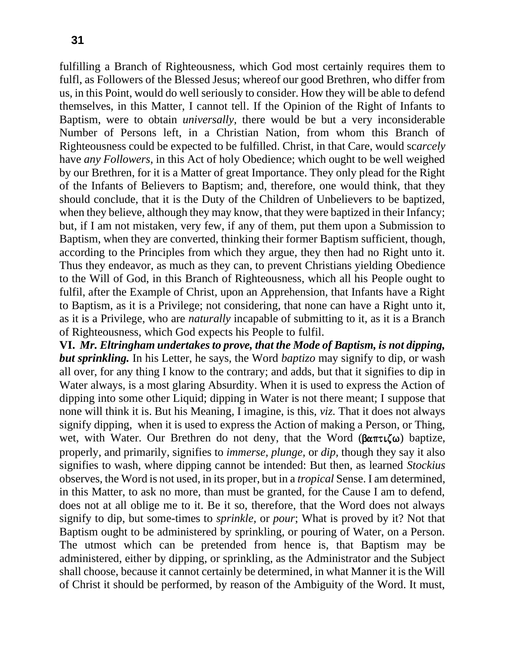fulfilling a Branch of Righteousness, which God most certainly requires them to fulfl, as Followers of the Blessed Jesus; whereof our good Brethren, who differ from us, in this Point, would do well seriously to consider. How they will be able to defend themselves, in this Matter, I cannot tell. If the Opinion of the Right of Infants to Baptism, were to obtain *universally,* there would be but a very inconsiderable Number of Persons left, in a Christian Nation, from whom this Branch of Righteousness could be expected to be fulfilled. Christ, in that Care, would sc*arcely*  have *any Followers,* in this Act of holy Obedience; which ought to be well weighed by our Brethren, for it is a Matter of great Importance. They only plead for the Right of the Infants of Believers to Baptism; and, therefore, one would think, that they should conclude, that it is the Duty of the Children of Unbelievers to be baptized, when they believe, although they may know, that they were baptized in their Infancy; but, if I am not mistaken, very few, if any of them, put them upon a Submission to Baptism, when they are converted, thinking their former Baptism sufficient, though, according to the Principles from which they argue, they then had no Right unto it. Thus they endeavor, as much as they can, to prevent Christians yielding Obedience to the Will of God, in this Branch of Righteousness, which all his People ought to fulfil, after the Example of Christ, upon an Apprehension, that Infants have a Right to Baptism, as it is a Privilege; not considering, that none can have a Right unto it, as it is a Privilege, who are *naturally* incapable of submitting to it, as it is a Branch of Righteousness, which God expects his People to fulfil.

**VI.** *Mr. Eltringham undertakes to prove, that the Mode of Baptism, is not dipping, but sprinkling.* In his Letter, he says, the Word *baptizo* may signify to dip, or wash all over, for any thing I know to the contrary; and adds, but that it signifies to dip in Water always, is a most glaring Absurdity. When it is used to express the Action of dipping into some other Liquid; dipping in Water is not there meant; I suppose that none will think it is. But his Meaning, I imagine, is this, *viz.* That it does not always signify dipping, when it is used to express the Action of making a Person, or Thing, wet, with Water. Our Brethren do not deny, that the Word ( $\beta \alpha \pi \tau \zeta \omega$ ) baptize, properly, and primarily, signifies to *immerse, plunge,* or *dip,* though they say it also signifies to wash, where dipping cannot be intended: But then, as learned *Stockius*  observes, the Word is not used, in its proper, but in a *tropical* Sense. I am determined, in this Matter, to ask no more, than must be granted, for the Cause I am to defend, does not at all oblige me to it. Be it so, therefore, that the Word does not always signify to dip, but some-times to *sprinkle,* or *pour*; What is proved by it? Not that Baptism ought to be administered by sprinkling, or pouring of Water, on a Person. The utmost which can be pretended from hence is, that Baptism may be administered, either by dipping, or sprinkling, as the Administrator and the Subject shall choose, because it cannot certainly be determined, in what Manner it is the Will of Christ it should be performed, by reason of the Ambiguity of the Word. It must,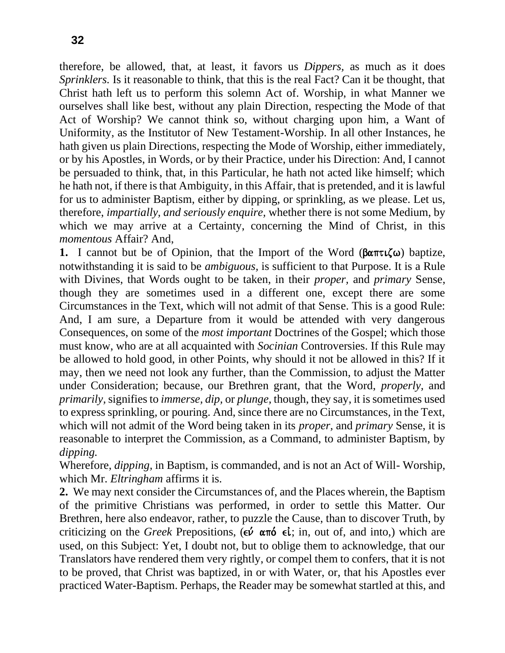therefore, be allowed, that, at least, it favors us *Dippers,* as much as it does *Sprinklers.* Is it reasonable to think, that this is the real Fact? Can it be thought, that Christ hath left us to perform this solemn Act of. Worship, in what Manner we ourselves shall like best, without any plain Direction, respecting the Mode of that Act of Worship? We cannot think so, without charging upon him, a Want of Uniformity, as the Institutor of New Testament-Worship. In all other Instances, he hath given us plain Directions, respecting the Mode of Worship, either immediately, or by his Apostles, in Words, or by their Practice, under his Direction: And, I cannot be persuaded to think, that, in this Particular, he hath not acted like himself; which he hath not, if there is that Ambiguity, in this Affair, that is pretended, and it is lawful for us to administer Baptism, either by dipping, or sprinkling, as we please. Let us, therefore, *impartially, and seriously enquire,* whether there is not some Medium, by which we may arrive at a Certainty, concerning the Mind of Christ, in this *momentous* Affair? And,

**1.** I cannot but be of Opinion, that the Import of the Word ( $\beta \alpha \pi \tau \zeta \omega$ ) baptize, notwithstanding it is said to be *ambiguous,* is sufficient to that Purpose. It is a Rule with Divines, that Words ought to be taken, in their *proper,* and *primary* Sense, though they are sometimes used in a different one, except there are some Circumstances in the Text, which will not admit of that Sense. This is a good Rule: And, I am sure, a Departure from it would be attended with very dangerous Consequences, on some of the *most important* Doctrines of the Gospel; which those must know, who are at all acquainted with *Socinian* Controversies. If this Rule may be allowed to hold good, in other Points, why should it not be allowed in this? If it may, then we need not look any further, than the Commission, to adjust the Matter under Consideration; because, our Brethren grant, that the Word, *properly,* and *primarily,* signifies to *immerse, dip,* or *plunge,* though, they say, it is sometimes used to express sprinkling, or pouring. And, since there are no Circumstances, in the Text, which will not admit of the Word being taken in its *proper,* and *primary* Sense, it is reasonable to interpret the Commission, as a Command, to administer Baptism, by *dipping.*

Wherefore, *dipping,* in Baptism, is commanded, and is not an Act of Will- Worship, which Mr. *Eltringham* affirms it is.

**2.** We may next consider the Circumstances of, and the Places wherein, the Baptism of the primitive Christians was performed, in order to settle this Matter. Our Brethren, here also endeavor, rather, to puzzle the Cause, than to discover Truth, by criticizing on the *Greek* Prepositions,  $(\epsilon \nu \alpha \pi \delta \epsilon)$ ; in, out of, and into,) which are used, on this Subject: Yet, I doubt not, but to oblige them to acknowledge, that our Translators have rendered them very rightly, or compel them to confers, that it is not to be proved, that Christ was baptized, in or with Water, or, that his Apostles ever practiced Water-Baptism. Perhaps, the Reader may be somewhat startled at this, and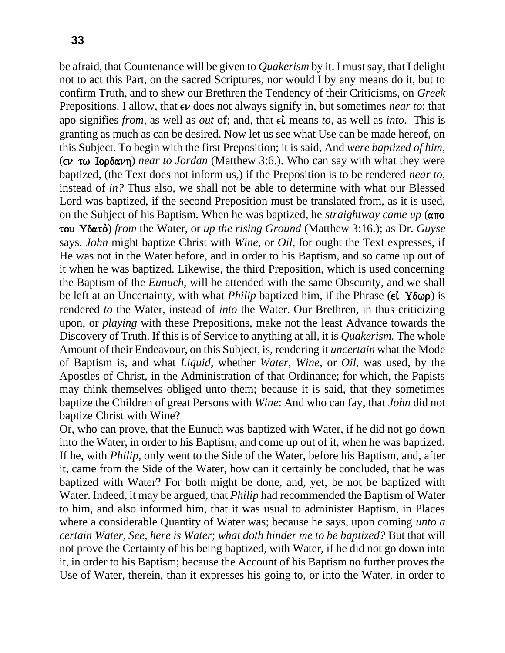be afraid, that Countenance will be given to *Quakerism* by it. I must say, that I delight not to act this Part, on the sacred Scriptures, nor would I by any means do it, but to confirm Truth, and to shew our Brethren the Tendency of their Criticisms, on *Greek*  Prepositions. I allow, that  $\epsilon \nu$  does not always signify in, but sometimes *near to*; that apo signifies *from*, as well as *out* of; and, that  $\epsilon i$  means *to*, as well as *into*. This is granting as much as can be desired. Now let us see what Use can be made hereof, on this Subject. To begin with the first Preposition; it is said, And *were baptized of him,*  ( $\epsilon \nu$   $\tau \omega$  Iopδ $\alpha \nu \eta$ ) *near to Jordan* (Matthew 3:6.). Who can say with what they were baptized, (the Text does not inform us,) if the Preposition is to be rendered *near to,*  instead of *in?* Thus also, we shall not be able to determine with what our Blessed Lord was baptized, if the second Preposition must be translated from*,* as it is used, on the Subject of his Baptism. When he was baptized, he *straightway came up* ( $\alpha \pi o$ ) **του Υδατό**) *from the Water, or <i>up the rising Ground* (Matthew 3:16.); as Dr. *Guyse* says. *John* might baptize Christ with *Wine,* or *Oil,* for ought the Text expresses, if He was not in the Water before, and in order to his Baptism, and so came up out of it when he was baptized. Likewise, the third Preposition, which is used concerning the Baptism of the *Eunuch,* will be attended with the same Obscurity, and we shall be left at an Uncertainty, with what *Philip* baptized him, if the Phrase (*εί* Υδωρ) is rendered *to* the Water, instead of *into* the Water. Our Brethren, in thus criticizing upon, or *playing* with these Prepositions, make not the least Advance towards the Discovery of Truth. If this is of Service to anything at all, it is *Quakerism.* The whole Amount of their Endeavour, on this Subject, is, rendering it *uncertain* what the Mode of Baptism is, and what *Liquid,* whether *Water, Wine,* or *Oil,* was used, by the Apostles of Christ, in the Administration of that Ordinance; for which, the Papists may think themselves obliged unto them; because it is said, that they sometimes baptize the Children of great Persons with *Wine*: And who can fay, that *John* did not baptize Christ with Wine?

Or, who can prove, that the Eunuch was baptized with Water, if he did not go down into the Water, in order to his Baptism, and come up out of it, when he was baptized. If he, with *Philip,* only went to the Side of the Water, before his Baptism, and, after it, came from the Side of the Water, how can it certainly be concluded, that he was baptized with Water? For both might be done, and, yet, be not be baptized with Water. Indeed, it may be argued, that *Philip* had recommended the Baptism of Water to him, and also informed him, that it was usual to administer Baptism, in Places where a considerable Quantity of Water was; because he says, upon coming *unto a certain Water, See, here is Water*; *what doth hinder me to be baptized?* But that will not prove the Certainty of his being baptized, with Water, if he did not go down into it, in order to his Baptism; because the Account of his Baptism no further proves the Use of Water, therein, than it expresses his going to, or into the Water, in order to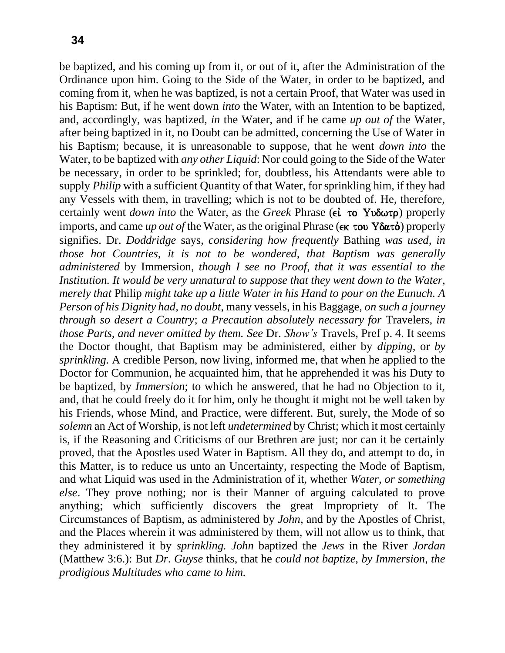be baptized, and his coming up from it, or out of it, after the Administration of the Ordinance upon him. Going to the Side of the Water, in order to be baptized, and coming from it, when he was baptized, is not a certain Proof, that Water was used in his Baptism: But, if he went down *into* the Water, with an Intention to be baptized, and, accordingly, was baptized, *in* the Water, and if he came *up out of* the Water, after being baptized in it, no Doubt can be admitted, concerning the Use of Water in his Baptism; because, it is unreasonable to suppose, that he went *down into* the Water, to be baptized with *any other Liquid*: Nor could going to the Side of the Water be necessary, in order to be sprinkled; for, doubtless, his Attendants were able to supply *Philip* with a sufficient Quantity of that Water, for sprinkling him, if they had any Vessels with them, in travelling; which is not to be doubted of. He, therefore, certainly went *down into* the Water, as the *Greek* Phrase (εί το Υυδωτρ) properly imports, and came *up out of* the Water, as the original Phrase ( $\epsilon \kappa$  του Υδατό) properly signifies. Dr. *Doddridge* says, *considering how frequently* Bathing *was used, in those hot Countries, it is not to be wondered, that Baptism was generally administered* by Immersion, *though I see no Proof, that it was essential to the Institution. It would be very unnatural to suppose that they went down to the Water, merely that* Philip *might take up a little Water in his Hand to pour on the Eunuch. A Person of his Dignity had, no doubt,* many vessels, in his Baggage, *on such a journey through so desert a Country*; *a Precaution absolutely necessary for* Travelers, *in those Parts, and never omitted by them. See* Dr. *Show's* Travels, Pref p. 4. It seems the Doctor thought, that Baptism may be administered, either by *dipping,* or *by sprinkling.* A credible Person, now living, informed me, that when he applied to the Doctor for Communion, he acquainted him, that he apprehended it was his Duty to be baptized, by *Immersion*; to which he answered, that he had no Objection to it, and, that he could freely do it for him, only he thought it might not be well taken by his Friends, whose Mind, and Practice, were different. But, surely, the Mode of so *solemn* an Act of Worship, is not left *undetermined* by Christ; which it most certainly is, if the Reasoning and Criticisms of our Brethren are just; nor can it be certainly proved, that the Apostles used Water in Baptism. All they do, and attempt to do, in this Matter, is to reduce us unto an Uncertainty, respecting the Mode of Baptism, and what Liquid was used in the Administration of it, whether *Water, or something else*. They prove nothing; nor is their Manner of arguing calculated to prove anything; which sufficiently discovers the great Impropriety of It. The Circumstances of Baptism, as administered by *John,* and by the Apostles of Christ, and the Places wherein it was administered by them, will not allow us to think, that they administered it by *sprinkling. John* baptized the *Jews* in the River *Jordan*  (Matthew 3:6.): But *Dr. Guyse* thinks, that he *could not baptize, by Immersion, the prodigious Multitudes who came to him.*